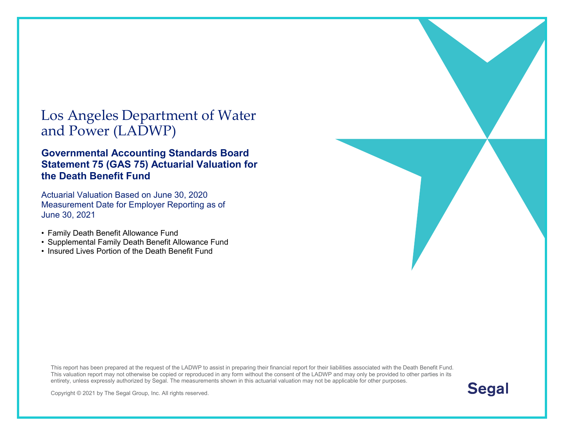#### Los Angeles Department of Water and Power (LADWP)

#### **Governmental Accounting Standards Board Statement 75 (GAS 75) Actuarial Valuation for the Death Benefit Fund**

Actuarial Valuation Based on June 30, [2020](#page--1-0) Measurement Date for Employer Reporting as of June 30, 2021

- Family Death Benefit Allowance Fund
- Supplemental Family Death Benefit Allowance Fund
- Insured Lives Portion of the Death Benefit Fund

This report has been prepared at the request of the LADWP to assist in preparing their financial report for their liabilities associated with the Death Benefit Fund. This valuation report may not otherwise be copied or reproduced in any form without the consent of the LADWP and may only be provided to other parties in its entirety, unless expressly authorized by Segal. The measurements shown in this actuarial valuation may not be applicable for other purposes.



Copyright © 2021 by The Segal Group, Inc. All rights reserved.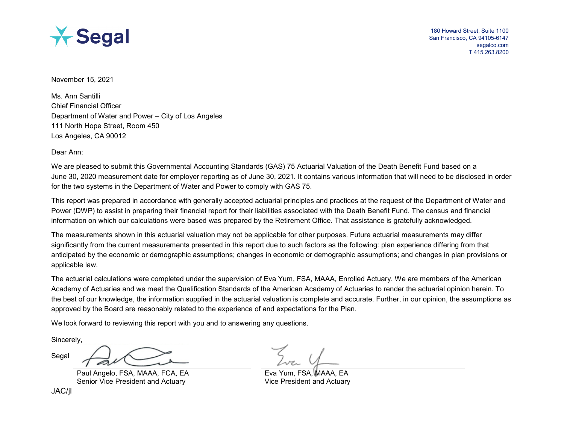

180 Howard Street, Suite 1100 San Francisco, CA 94105-6147 segalco.com T 415.263.8200

November 15, 2021

Ms. Ann Santilli Chief Financial Officer Department of Water and Power – City of Los Angeles 111 North Hope Street, Room 450 Los Angeles, CA 90012

Dear Ann:

We are pleased to submit this Governmental Accounting Standards (GAS) 75 Actuarial Valuation of the Death Benefit Fund based on a June 30, [2020](#page--1-0) measurement date for employer reporting as of June 30, 2021. It contains various information that will need to be disclosed in order for the two systems in the Department of Water and Power to comply with GAS 75.

This report was prepared in accordance with generally accepted actuarial principles and practices at the request of the Department of Water and Power (DWP) to assist in preparing their financial report for their liabilities associated with the Death Benefit Fund. The census and financial information on which our calculations were based was prepared by the Retirement Office. That assistance is gratefully acknowledged.

The measurements shown in this actuarial valuation may not be applicable for other purposes. Future actuarial measurements may differ significantly from the current measurements presented in this report due to such factors as the following: plan experience differing from that anticipated by the economic or demographic assumptions; changes in economic or demographic assumptions; and changes in plan provisions or applicable law.

The actuarial calculations were completed under the supervision of Eva Yum, FSA, MAAA, Enrolled Actuary. We are members of the American Academy of Actuaries and we meet the Qualification Standards of the American Academy of Actuaries to render the actuarial opinion herein. To the best of our knowledge, the information supplied in the actuarial valuation is complete and accurate. Further, in our opinion, the assumptions as approved by the Board are reasonably related to the experience of and expectations for the Plan.

We look forward to reviewing this report with you and to answering any questions.

Sincerely,

Segal

Paul Angelo, FSA, MAAA, FCA, EA Senior Vice President and Actuary

Eva Yum, FSA, MAAA, Vice President and Actuary

JAC/jl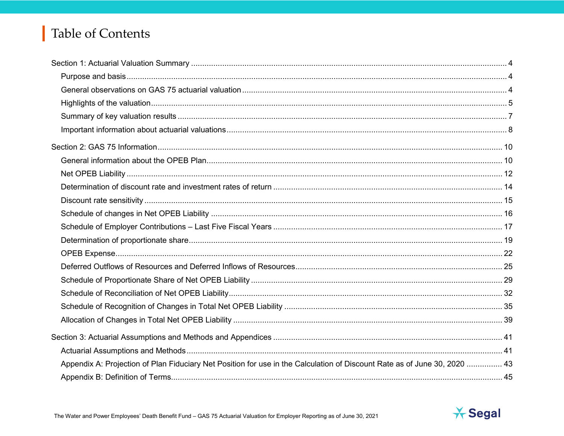# Table of Contents

| Appendix A: Projection of Plan Fiduciary Net Position for use in the Calculation of Discount Rate as of June 30, 2020  43 |  |
|---------------------------------------------------------------------------------------------------------------------------|--|
|                                                                                                                           |  |

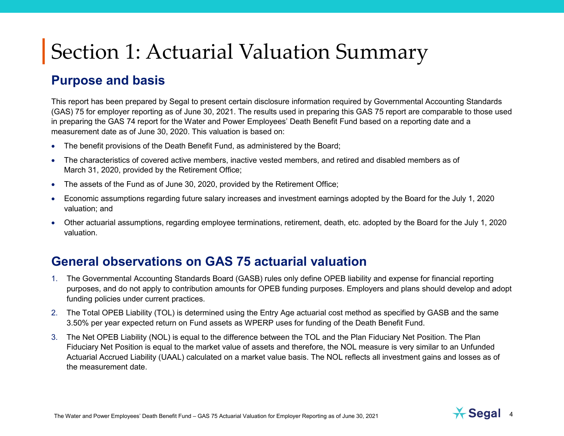#### **Purpose and basis**

This report has been prepared by Segal to present certain disclosure information required by Governmental Accounting Standards (GAS) 75 for employer reporting as of June 30, 2021. The results used in preparing this GAS 75 report are comparable to those used in preparing the GAS 74 report for the Water and Power Employees' Death Benefit Fund based on a reporting date and a measurement date as of June 30, [2020.](#page--1-0) This valuation is based on:

- The benefit provisions of the Death Benefit Fund, as administered by the Board;
- The characteristics of covered active members, inactive vested members, and retired and disabled members as of March 31, [2020,](#page--1-0) provided by the Retirement Office;
- The assets of the Fund as of June 30, [2020,](#page--1-0) provided by the Retirement Office;
- Economic assumptions regarding future salary increases and investment earnings adopted by the Board for the July 1, [2020](#page--1-0) valuation; and
- Other actuarial assumptions, regarding employee terminations, retirement, death, etc. adopted by the Board for the July 1, [2020](#page--1-0) valuation.

#### **General observations on GAS 75 actuarial valuation**

- 1. The Governmental Accounting Standards Board (GASB) rules only define OPEB liability and expense for financial reporting purposes, and do not apply to contribution amounts for OPEB funding purposes. Employers and plans should develop and adopt funding policies under current practices.
- 2. The Total OPEB Liability (TOL) is determined using the Entry Age actuarial cost method as specified by GASB and the same 3.50% per year expected return on Fund assets as WPERP uses for funding of the Death Benefit Fund.
- 3. The Net OPEB Liability (NOL) is equal to the difference between the TOL and the Plan Fiduciary Net Position. The Plan Fiduciary Net Position is equal to the market value of assets and therefore, the NOL measure is very similar to an Unfunded Actuarial Accrued Liability (UAAL) calculated on a market value basis. The NOL reflects all investment gains and losses as of the measurement date.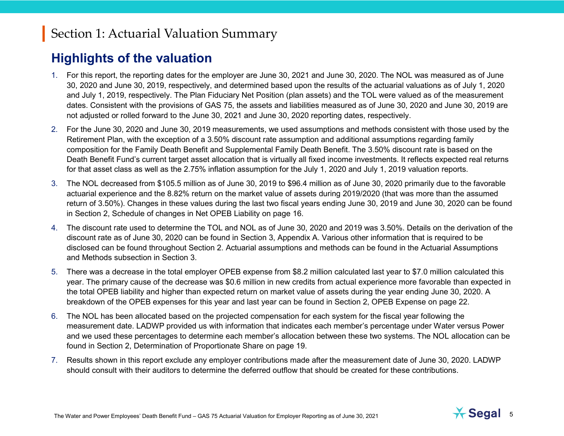#### **Highlights of the valuation**

- 1. For this report, the reporting dates for the employer are June 30, 2021 and June 30, 2020. The NOL was measured as of June 30, 2020 and June 30, 2019, respectively, and determined based upon the results of the actuarial valuations as of July 1, 2020 and July 1, 2019, respectively. The Plan Fiduciary Net Position (plan assets) and the TOL were valued as of the measurement dates. Consistent with the provisions of GAS 75, the assets and liabilities measured as of June 30, 2020 and June 30, 2019 are not adjusted or rolled forward to the June 30, 2021 and June 30, 2020 reporting dates, respectively.
- 2. For the June 30, [2020](#page--1-0) and June 30, [2019](#page--1-1) measurements, we used assumptions and methods consistent with those used by the Retirement Plan, with the exception of a 3.50% discount rate assumption and additional assumptions regarding family composition for the Family Death Benefit and Supplemental Family Death Benefit. The 3.50% discount rate is based on the Death Benefit Fund's current target asset allocation that is virtually all fixed income investments. It reflects expected real returns for that asset class as well as the 2.75% inflation assumption for the July 1, [2020](#page--1-0) and July 1, [2019](#page--1-1) valuation reports.
- 3. The NOL decreased from \$105.5 million as of June 30, 2019 to \$96.4 million as of June 30, [2020](#page--1-0) primarily due to the favorable actuarial experience and the 8.82% return on the market value of assets during 2019/2020 (that was more than the assumed return of 3.50%). Changes in these values during the last two fiscal years ending June 30, [2019](#page--1-1) and June 30, [2020](#page--1-0) can be found in Section 2, Schedule of changes in Net OPEB Liability on page 16.
- 4. The discount rate used to determine the TOL and NOL as of June 30, [2020](#page--1-0) and [2019](#page--1-1) was 3.50%. Details on the derivation of the discount rate as of June 30, [2020](#page--1-0) can be found in Section 3, Appendix A. Various other information that is required to be disclosed can be found throughout Section 2. Actuarial assumptions and methods can be found in the Actuarial Assumptions and Methods subsection in Section 3.
- 5. There was a decrease in the total employer OPEB expense from \$8.2 million calculated last year to \$7.0 million calculated this year. The primary cause of the decrease was \$0.6 million in new credits from actual experience more favorable than expected in the total OPEB liability and higher than expected return on market value of assets during the year ending June 30, 2020. A breakdown of the OPEB expenses for this year and last year can be found in Section 2, OPEB Expense on page [22.](#page-20-0)
- 6. The NOL has been allocated based on the projected compensation for each system for the fiscal year following the measurement date. LADWP provided us with information that indicates each member's percentage under Water versus Power and we used these percentages to determine each member's allocation between these two systems. The NOL allocation can be found in Section 2, Determination of Proportionate Share on page [19.](#page-18-0)
- 7. Results shown in this report exclude any employer contributions made after the measurement date of June 30, [2020.](#page--1-0) LADWP should consult with their auditors to determine the deferred outflow that should be created for these contributions.

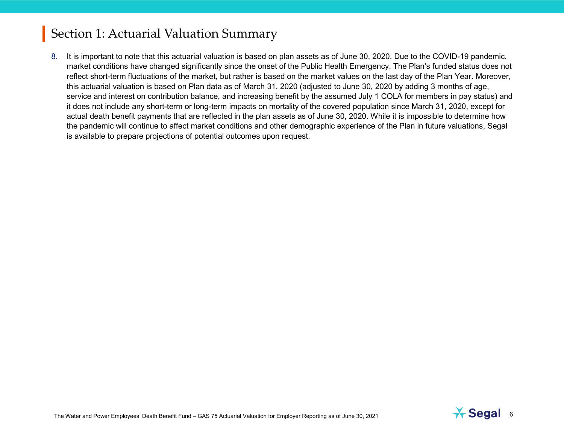8. It is important to note that this actuarial valuation is based on plan assets as of June 30, 2020. Due to the COVID-19 pandemic, market conditions have changed significantly since the onset of the Public Health Emergency. The Plan's funded status does not reflect short-term fluctuations of the market, but rather is based on the market values on the last day of the Plan Year. Moreover, this actuarial valuation is based on Plan data as of March 31, 2020 (adjusted to June 30, 2020 by adding 3 months of age, service and interest on contribution balance, and increasing benefit by the assumed July 1 COLA for members in pay status) and it does not include any short-term or long-term impacts on mortality of the covered population since March 31, 2020, except for actual death benefit payments that are reflected in the plan assets as of June 30, 2020. While it is impossible to determine how the pandemic will continue to affect market conditions and other demographic experience of the Plan in future valuations, Segal is available to prepare projections of potential outcomes upon request.

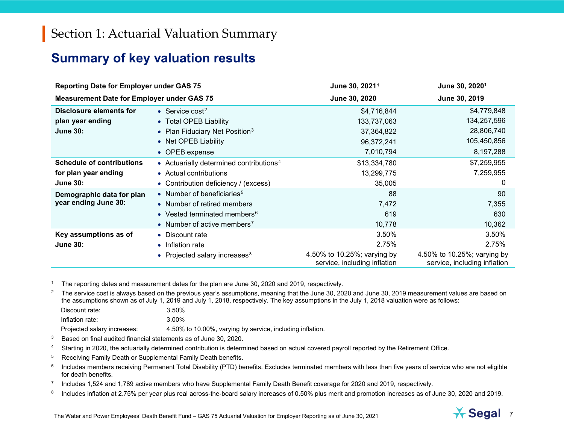#### <span id="page-6-7"></span><span id="page-6-6"></span><span id="page-6-5"></span><span id="page-6-4"></span><span id="page-6-3"></span><span id="page-6-2"></span><span id="page-6-1"></span><span id="page-6-0"></span>**Summary of key valuation results**

| <b>Reporting Date for Employer under GAS 75</b>   |                                                     | June 30, 2021 <sup>1</sup>                                  | June 30, 2020 <sup>1</sup>                                  |
|---------------------------------------------------|-----------------------------------------------------|-------------------------------------------------------------|-------------------------------------------------------------|
| <b>Measurement Date for Employer under GAS 75</b> |                                                     | June 30, 2020                                               | June 30, 2019                                               |
| Disclosure elements for                           | • Service $cost2$                                   | \$4,716,844                                                 | \$4,779,848                                                 |
| plan year ending                                  | • Total OPEB Liability                              | 133,737,063                                                 | 134,257,596                                                 |
| <b>June 30:</b>                                   | • Plan Fiduciary Net Position <sup>3</sup>          | 37,364,822                                                  | 28,806,740                                                  |
|                                                   | • Net OPEB Liability                                | 96,372,241                                                  | 105,450,856                                                 |
|                                                   | • OPEB expense                                      | 7,010,794                                                   | 8,197,288                                                   |
| <b>Schedule of contributions</b>                  | • Actuarially determined contributions <sup>4</sup> | \$13,334,780                                                | \$7,259,955                                                 |
| for plan year ending                              | • Actual contributions                              | 13,299,775                                                  | 7,259,955                                                   |
| <b>June 30:</b>                                   | • Contribution deficiency / (excess)                | 35,005                                                      | 0                                                           |
| Demographic data for plan                         | • Number of beneficiaries <sup>5</sup>              | 88                                                          | 90                                                          |
| year ending June 30:                              | • Number of retired members                         | 7,472                                                       | 7,355                                                       |
|                                                   | • Vested terminated members <sup>6</sup>            | 619                                                         | 630                                                         |
|                                                   | • Number of active members <sup>7</sup>             | 10,778                                                      | 10,362                                                      |
| Key assumptions as of                             | • Discount rate                                     | 3.50%                                                       | 3.50%                                                       |
| <b>June 30:</b>                                   | • Inflation rate                                    | 2.75%                                                       | 2.75%                                                       |
|                                                   | • Projected salary increases <sup>8</sup>           | 4.50% to 10.25%; varying by<br>service, including inflation | 4.50% to 10.25%; varying by<br>service, including inflation |

The reporting dates and measurement dates for the plan are June 30, 2020 and 2019, respectively.

<sup>2</sup> The service cost is always based on the previous year's assumptions, meaning that the June 30, [2020](#page--1-0) and June 30, [2019](#page--1-1) measurement values are based on the assumptions shown as of July 1, [2019](#page--1-1) and July 1, 2018, respectively. The key assumptions in the July 1, 2018 valuation were as follows:

| Discount rate:              | 3.50%                                                     |
|-----------------------------|-----------------------------------------------------------|
| Inflation rate:             | 3.00%                                                     |
| Projected salary increases: | 4.50% to 10.00%, varying by service, including inflation. |

 $3$  Based on final audited financial statements as of June 30, [2020.](#page--1-0)

- <sup>4</sup> Starting in 2020, the actuarially determined contribution is determined based on actual covered payroll reported by the Retirement Office.
- <sup>5</sup> Receiving Family Death or Supplemental Family Death benefits.
- <sup>6</sup> Includes members receiving Permanent Total Disability (PTD) benefits. Excludes terminated members with less than five years of service who are not eligible for death benefits.
- <sup>7</sup> Includes 1,524 and 1,789 active members who have Supplemental Family Death Benefit coverage for 2020 and 2019, respectively.
- <sup>8</sup> Includes inflation at 2.75% per year plus real across-the-board salary increases of 0.50% plus merit and promotion increases as of June 30, 2020 and 2019.

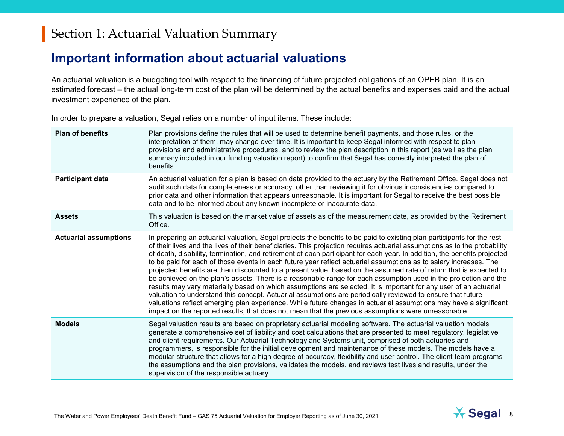#### **Important information about actuarial valuations**

An actuarial valuation is a budgeting tool with respect to the financing of future projected obligations of an OPEB plan. It is an estimated forecast – the actual long-term cost of the plan will be determined by the actual benefits and expenses paid and the actual investment experience of the plan.

In order to prepare a valuation, Segal relies on a number of input items. These include:

| <b>Plan of benefits</b>      | Plan provisions define the rules that will be used to determine benefit payments, and those rules, or the<br>interpretation of them, may change over time. It is important to keep Segal informed with respect to plan<br>provisions and administrative procedures, and to review the plan description in this report (as well as the plan<br>summary included in our funding valuation report) to confirm that Segal has correctly interpreted the plan of<br>benefits.                                                                                                                                                                                                                                                                                                                                                                                                                                                                                                                                                                                                                                                                                                                                       |
|------------------------------|----------------------------------------------------------------------------------------------------------------------------------------------------------------------------------------------------------------------------------------------------------------------------------------------------------------------------------------------------------------------------------------------------------------------------------------------------------------------------------------------------------------------------------------------------------------------------------------------------------------------------------------------------------------------------------------------------------------------------------------------------------------------------------------------------------------------------------------------------------------------------------------------------------------------------------------------------------------------------------------------------------------------------------------------------------------------------------------------------------------------------------------------------------------------------------------------------------------|
| <b>Participant data</b>      | An actuarial valuation for a plan is based on data provided to the actuary by the Retirement Office. Segal does not<br>audit such data for completeness or accuracy, other than reviewing it for obvious inconsistencies compared to<br>prior data and other information that appears unreasonable. It is important for Segal to receive the best possible<br>data and to be informed about any known incomplete or inaccurate data.                                                                                                                                                                                                                                                                                                                                                                                                                                                                                                                                                                                                                                                                                                                                                                           |
| <b>Assets</b>                | This valuation is based on the market value of assets as of the measurement date, as provided by the Retirement<br>Office.                                                                                                                                                                                                                                                                                                                                                                                                                                                                                                                                                                                                                                                                                                                                                                                                                                                                                                                                                                                                                                                                                     |
| <b>Actuarial assumptions</b> | In preparing an actuarial valuation, Segal projects the benefits to be paid to existing plan participants for the rest<br>of their lives and the lives of their beneficiaries. This projection requires actuarial assumptions as to the probability<br>of death, disability, termination, and retirement of each participant for each year. In addition, the benefits projected<br>to be paid for each of those events in each future year reflect actuarial assumptions as to salary increases. The<br>projected benefits are then discounted to a present value, based on the assumed rate of return that is expected to<br>be achieved on the plan's assets. There is a reasonable range for each assumption used in the projection and the<br>results may vary materially based on which assumptions are selected. It is important for any user of an actuarial<br>valuation to understand this concept. Actuarial assumptions are periodically reviewed to ensure that future<br>valuations reflect emerging plan experience. While future changes in actuarial assumptions may have a significant<br>impact on the reported results, that does not mean that the previous assumptions were unreasonable. |
| <b>Models</b>                | Segal valuation results are based on proprietary actuarial modeling software. The actuarial valuation models<br>generate a comprehensive set of liability and cost calculations that are presented to meet regulatory, legislative<br>and client requirements. Our Actuarial Technology and Systems unit, comprised of both actuaries and<br>programmers, is responsible for the initial development and maintenance of these models. The models have a<br>modular structure that allows for a high degree of accuracy, flexibility and user control. The client team programs<br>the assumptions and the plan provisions, validates the models, and reviews test lives and results, under the<br>supervision of the responsible actuary.                                                                                                                                                                                                                                                                                                                                                                                                                                                                      |

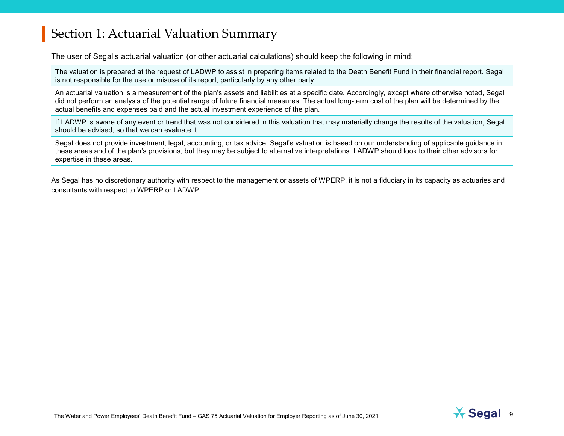The user of Segal's actuarial valuation (or other actuarial calculations) should keep the following in mind:

The valuation is prepared at the request of LADWP to assist in preparing items related to the Death Benefit Fund in their financial report. Segal is not responsible for the use or misuse of its report, particularly by any other party.

An actuarial valuation is a measurement of the plan's assets and liabilities at a specific date. Accordingly, except where otherwise noted, Segal did not perform an analysis of the potential range of future financial measures. The actual long-term cost of the plan will be determined by the actual benefits and expenses paid and the actual investment experience of the plan.

If LADWP is aware of any event or trend that was not considered in this valuation that may materially change the results of the valuation, Segal should be advised, so that we can evaluate it.

Segal does not provide investment, legal, accounting, or tax advice. Segal's valuation is based on our understanding of applicable guidance in these areas and of the plan's provisions, but they may be subject to alternative interpretations. LADWP should look to their other advisors for expertise in these areas.

As Segal has no discretionary authority with respect to the management or assets of WPERP, it is not a fiduciary in its capacity as actuaries and consultants with respect to WPERP or LADWP.

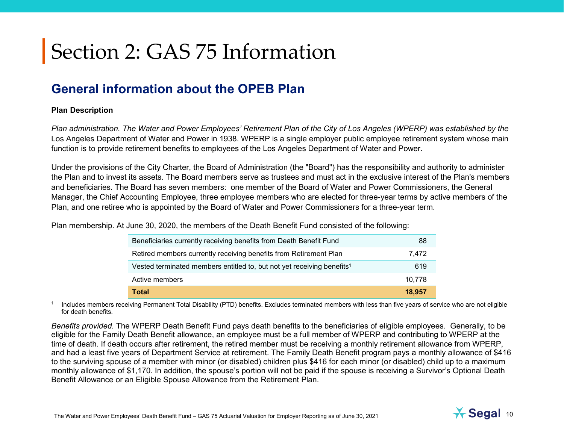#### **General information about the OPEB Plan**

#### **Plan Description**

*Plan administration. The Water and Power Employees' Retirement Plan of the City of Los Angeles (WPERP) was established by the* Los Angeles Department of Water and Power in 1938. WPERP is a single employer public employee retirement system whose main function is to provide retirement benefits to employees of the Los Angeles Department of Water and Power.

Under the provisions of the City Charter, the Board of Administration (the "Board") has the responsibility and authority to administer the Plan and to invest its assets. The Board members serve as trustees and must act in the exclusive interest of the Plan's members and beneficiaries. The Board has seven members: one member of the Board of Water and Power Commissioners, the General Manager, the Chief Accounting Employee, three employee members who are elected for three-year terms by active members of the Plan, and one retiree who is appointed by the Board of Water and Power Commissioners for a three-year term.

Plan membership. At June 30, [2020,](#page--1-0) the members of the Death Benefit Fund consisted of the following:

| Beneficiaries currently receiving benefits from Death Benefit Fund                 | 88     |
|------------------------------------------------------------------------------------|--------|
| Retired members currently receiving benefits from Retirement Plan                  | 7.472  |
| Vested terminated members entitled to, but not yet receiving benefits <sup>1</sup> | 619    |
| Active members                                                                     | 10.778 |
| <b>Total</b>                                                                       | 18,957 |

<sup>1</sup> Includes members receiving Permanent Total Disability (PTD) benefits. Excludes terminated members with less than five years of service who are not eligible for death benefits.

*Benefits provided.* The WPERP Death Benefit Fund pays death benefits to the beneficiaries of eligible employees. Generally, to be eligible for the Family Death Benefit allowance, an employee must be a full member of WPERP and contributing to WPERP at the time of death. If death occurs after retirement, the retired member must be receiving a monthly retirement allowance from WPERP, and had a least five years of Department Service at retirement. The Family Death Benefit program pays a monthly allowance of \$416 to the surviving spouse of a member with minor (or disabled) children plus \$416 for each minor (or disabled) child up to a maximum monthly allowance of \$1,170. In addition, the spouse's portion will not be paid if the spouse is receiving a Survivor's Optional Death Benefit Allowance or an Eligible Spouse Allowance from the Retirement Plan.

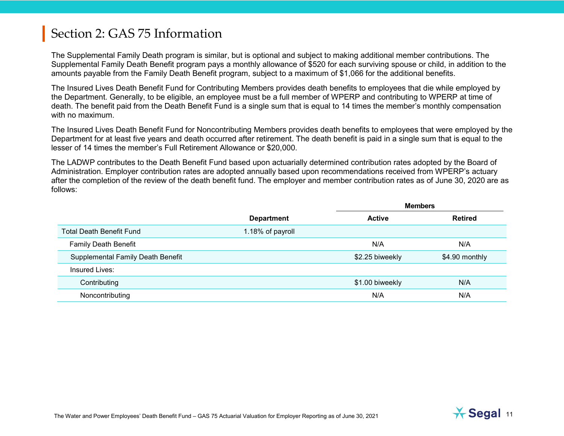The Supplemental Family Death program is similar, but is optional and subject to making additional member contributions. The Supplemental Family Death Benefit program pays a monthly allowance of \$520 for each surviving spouse or child, in addition to the amounts payable from the Family Death Benefit program, subject to a maximum of \$1,066 for the additional benefits.

The Insured Lives Death Benefit Fund for Contributing Members provides death benefits to employees that die while employed by the Department. Generally, to be eligible, an employee must be a full member of WPERP and contributing to WPERP at time of death. The benefit paid from the Death Benefit Fund is a single sum that is equal to 14 times the member's monthly compensation with no maximum.

The Insured Lives Death Benefit Fund for Noncontributing Members provides death benefits to employees that were employed by the Department for at least five years and death occurred after retirement. The death benefit is paid in a single sum that is equal to the lesser of 14 times the member's Full Retirement Allowance or \$20,000.

The LADWP contributes to the Death Benefit Fund based upon actuarially determined contribution rates adopted by the Board of Administration. Employer contribution rates are adopted annually based upon recommendations received from WPERP's actuary after the completion of the review of the death benefit fund. The employer and member contribution rates as of June 30, [2020](#page--1-0) are as follows:

|                                   |                   | <b>Members</b>  |                |
|-----------------------------------|-------------------|-----------------|----------------|
|                                   | <b>Department</b> | <b>Active</b>   | <b>Retired</b> |
| <b>Total Death Benefit Fund</b>   | 1.18% of payroll  |                 |                |
| <b>Family Death Benefit</b>       |                   | N/A             | N/A            |
| Supplemental Family Death Benefit |                   | \$2.25 biweekly | \$4.90 monthly |
| Insured Lives:                    |                   |                 |                |
| Contributing                      |                   | \$1.00 biweekly | N/A            |
| Noncontributing                   |                   | N/A             | N/A            |

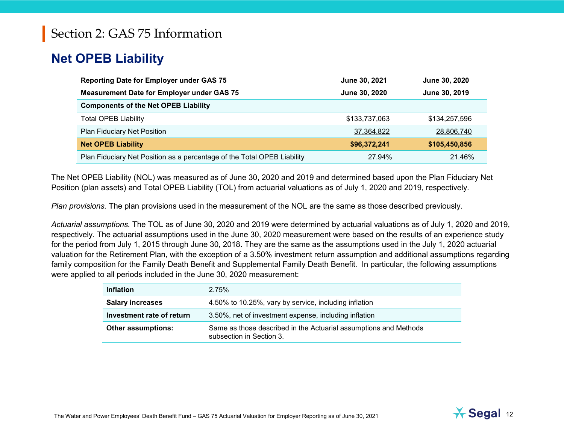### **Net OPEB Liability**

| <b>Reporting Date for Employer under GAS 75</b>                         | June 30, 2021 | June 30, 2020 |
|-------------------------------------------------------------------------|---------------|---------------|
| <b>Measurement Date for Employer under GAS 75</b>                       | June 30, 2020 | June 30, 2019 |
| <b>Components of the Net OPEB Liability</b>                             |               |               |
| <b>Total OPEB Liability</b>                                             | \$133,737,063 | \$134,257,596 |
| <b>Plan Fiduciary Net Position</b>                                      | 37,364,822    | 28,806,740    |
| <b>Net OPEB Liability</b>                                               | \$96,372,241  | \$105,450,856 |
| Plan Fiduciary Net Position as a percentage of the Total OPEB Liability | 27.94%        | 21.46%        |

The Net OPEB Liability (NOL) was measured as of June 30, [2020](#page--1-0) and [2019](#page--1-1) and determined based upon the Plan Fiduciary Net Position (plan assets) and Total OPEB Liability (TOL) from actuarial valuations as of July 1, [2020](#page--1-0) and [2019,](#page--1-1) respectively.

*Plan provisions.* The plan provisions used in the measurement of the NOL are the same as those described previously.

*Actuarial assumptions.* The TOL as of June 30, [2020](#page--1-0) and [2019](#page--1-1) were determined by actuarial valuations as of July 1, [2020](#page--1-0) and [2019,](#page--1-1) respectively. The actuarial assumptions used in the June 30, [2020](#page--1-0) measurement were based on the results of an experience study for the period from July 1, 2015 through June 30, 2018. They are the same as the assumptions used in the July 1, [2020](#page--1-0) actuarial valuation for the Retirement Plan, with the exception of a 3.50% investment return assumption and additional assumptions regarding family composition for the Family Death Benefit and Supplemental Family Death Benefit. In particular, the following assumptions were applied to all periods included in the June 30, 2020 measurement:

| <b>Inflation</b>          | 2.75%                                                                                        |
|---------------------------|----------------------------------------------------------------------------------------------|
| <b>Salary increases</b>   | 4.50% to 10.25%, vary by service, including inflation                                        |
| Investment rate of return | 3.50%, net of investment expense, including inflation                                        |
| <b>Other assumptions:</b> | Same as those described in the Actuarial assumptions and Methods<br>subsection in Section 3. |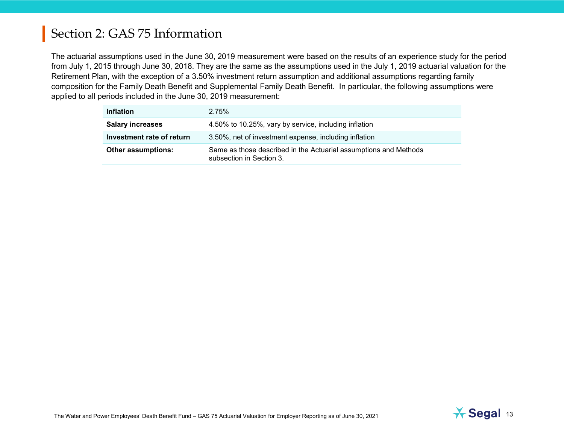The actuarial assumptions used in the June 30, [2019](#page--1-1) measurement were based on the results of an experience study for the period from July 1, 2015 through June 30, 2018. They are the same as the assumptions used in the July 1, [2019](#page--1-1) actuarial valuation for the Retirement Plan, with the exception of a 3.50% investment return assumption and additional assumptions regarding family composition for the Family Death Benefit and Supplemental Family Death Benefit. In particular, the following assumptions were applied to all periods included in the June 30, 2019 measurement:

| <b>Inflation</b>          | 2.75%                                                                                        |
|---------------------------|----------------------------------------------------------------------------------------------|
| <b>Salary increases</b>   | 4.50% to 10.25%, vary by service, including inflation                                        |
| Investment rate of return | 3.50%, net of investment expense, including inflation                                        |
| <b>Other assumptions:</b> | Same as those described in the Actuarial assumptions and Methods<br>subsection in Section 3. |

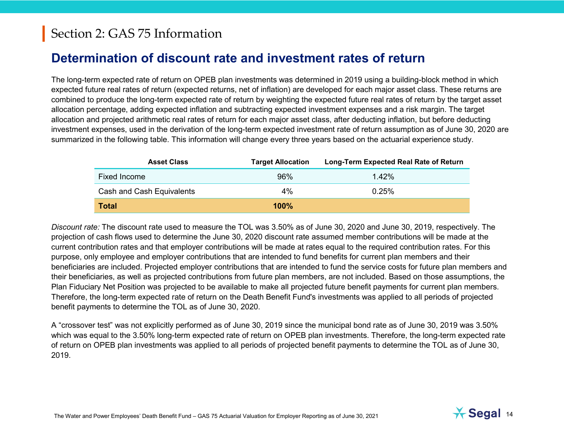#### **Determination of discount rate and investment rates of return**

The long-term expected rate of return on OPEB plan investments was determined in [2019](#page--1-1) using a building-block method in which expected future real rates of return (expected returns, net of inflation) are developed for each major asset class. These returns are combined to produce the long-term expected rate of return by weighting the expected future real rates of return by the target asset allocation percentage, adding expected inflation and subtracting expected investment expenses and a risk margin. The target allocation and projected arithmetic real rates of return for each major asset class, after deducting inflation, but before deducting investment expenses, used in the derivation of the long-term expected investment rate of return assumption as of June 30, 2020 are summarized in the following table. This information will change every three years based on the actuarial experience study.

| <b>Asset Class</b>        | <b>Target Allocation</b> | Long-Term Expected Real Rate of Return |
|---------------------------|--------------------------|----------------------------------------|
| <b>Fixed Income</b>       | 96%                      | $1.42\%$                               |
| Cash and Cash Equivalents | $4\%$                    | 0.25%                                  |
| <b>Total</b>              | $100\%$                  |                                        |

*Discount rate:* The discount rate used to measure the TOL was 3.50% as of June 30, 2020 and June 30, 2019, respectively. The projection of cash flows used to determine the June 30, 2020 discount rate assumed member contributions will be made at the current contribution rates and that employer contributions will be made at rates equal to the required contribution rates. For this purpose, only employee and employer contributions that are intended to fund benefits for current plan members and their beneficiaries are included. Projected employer contributions that are intended to fund the service costs for future plan members and their beneficiaries, as well as projected contributions from future plan members, are not included. Based on those assumptions, the Plan Fiduciary Net Position was projected to be available to make all projected future benefit payments for current plan members. Therefore, the long-term expected rate of return on the Death Benefit Fund's investments was applied to all periods of projected benefit payments to determine the TOL as of June 30, 2020.

A "crossover test" was not explicitly performed as of June 30, 2019 since the municipal bond rate as of June 30, [2019](#page--1-1) was 3.50% which was equal to the 3.50% long-term expected rate of return on OPEB plan investments. Therefore, the long-term expected rate of return on OPEB plan investments was applied to all periods of projected benefit payments to determine the TOL as of June 30, [2019.](#page--1-1)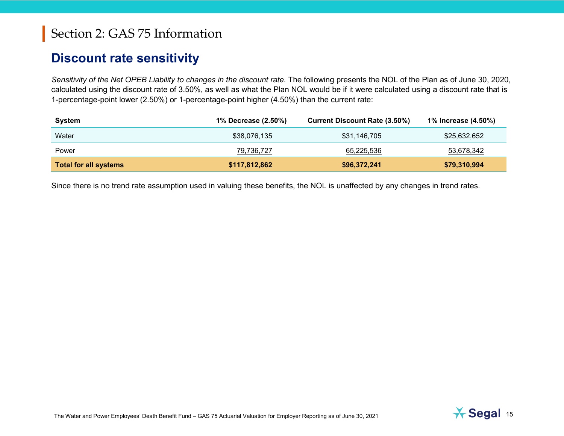#### **Discount rate sensitivity**

*Sensitivity of the Net OPEB Liability to changes in the discount rate.* The following presents the NOL of the Plan as of June 30, [2020,](#page--1-0) calculated using the discount rate of 3.50%, as well as what the Plan NOL would be if it were calculated using a discount rate that is 1-percentage-point lower (2.50%) or 1-percentage-point higher (4.50%) than the current rate:

| System                       | 1% Decrease (2.50%) | <b>Current Discount Rate (3.50%)</b> | 1% Increase (4.50%) |
|------------------------------|---------------------|--------------------------------------|---------------------|
| Water                        | \$38,076,135        | \$31,146,705                         | \$25,632,652        |
| Power                        | 79,736,727          | 65,225,536                           | 53,678,342          |
| <b>Total for all systems</b> | \$117,812,862       | \$96,372,241                         | \$79,310,994        |

Since there is no trend rate assumption used in valuing these benefits, the NOL is unaffected by any changes in trend rates.

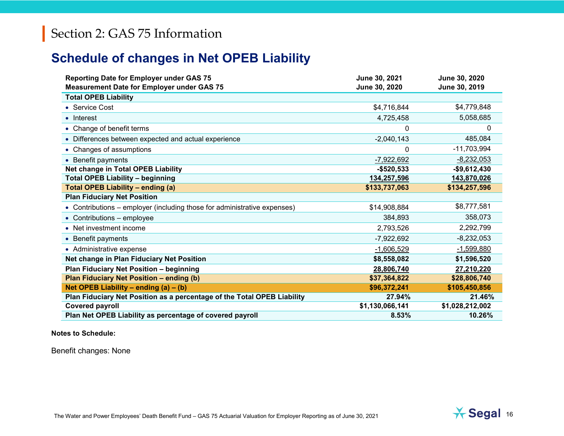#### **Schedule of changes in Net OPEB Liability**

| <b>Reporting Date for Employer under GAS 75</b><br><b>Measurement Date for Employer under GAS 75</b> | June 30, 2021<br>June 30, 2020 | June 30, 2020<br>June 30, 2019 |
|------------------------------------------------------------------------------------------------------|--------------------------------|--------------------------------|
| <b>Total OPEB Liability</b>                                                                          |                                |                                |
| • Service Cost                                                                                       | \$4,716,844                    | \$4,779,848                    |
| • Interest                                                                                           | 4,725,458                      | 5,058,685                      |
| • Change of benefit terms                                                                            | 0                              | $\mathbf{0}$                   |
| • Differences between expected and actual experience                                                 | $-2,040,143$                   | 485,084                        |
| • Changes of assumptions                                                                             | 0                              | $-11,703,994$                  |
| • Benefit payments                                                                                   | $-7,922,692$                   | $-8,232,053$                   |
| Net change in Total OPEB Liability                                                                   | $-$520,533$                    | $-$9,612,430$                  |
| <b>Total OPEB Liability - beginning</b>                                                              | 134,257,596                    | 143,870,026                    |
| <b>Total OPEB Liability - ending (a)</b>                                                             | \$133,737,063                  | \$134,257,596                  |
| <b>Plan Fiduciary Net Position</b>                                                                   |                                |                                |
| • Contributions - employer (including those for administrative expenses)                             | \$14,908,884                   | \$8,777,581                    |
| • Contributions - employee                                                                           | 384,893                        | 358,073                        |
| • Net investment income                                                                              | 2,793,526                      | 2,292,799                      |
| • Benefit payments                                                                                   | $-7,922,692$                   | $-8,232,053$                   |
| • Administrative expense                                                                             | $-1,606,529$                   | $-1,599,880$                   |
| Net change in Plan Fiduciary Net Position                                                            | \$8,558,082                    | \$1,596,520                    |
| Plan Fiduciary Net Position - beginning                                                              | 28,806,740                     | 27,210,220                     |
| Plan Fiduciary Net Position - ending (b)                                                             | \$37,364,822                   | \$28,806,740                   |
| Net OPEB Liability - ending $(a) - (b)$                                                              | \$96,372,241                   | \$105,450,856                  |
| Plan Fiduciary Net Position as a percentage of the Total OPEB Liability                              | 27.94%                         | 21.46%                         |
| <b>Covered payroll</b>                                                                               | \$1,130,066,141                | \$1,028,212,002                |
| Plan Net OPEB Liability as percentage of covered payroll                                             | 8.53%                          | 10.26%                         |

**Notes to Schedule:**

Benefit changes: None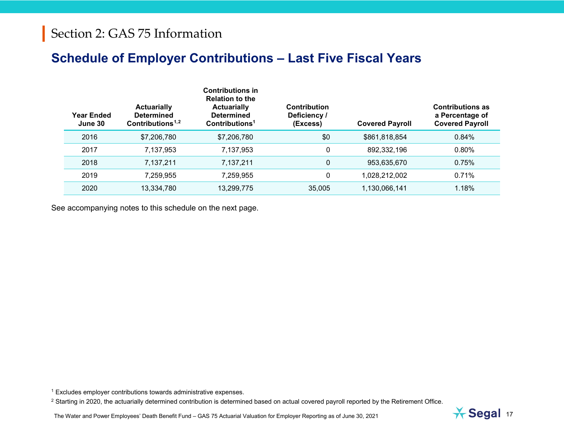#### <span id="page-16-1"></span><span id="page-16-0"></span>**Schedule of Employer Contributions – Last Five Fiscal Years**

| Year Ended<br>June 30 | <b>Actuarially</b><br><b>Determined</b><br>Contributions <sup><math>1,2</math></sup> | <b>Contributions in</b><br><b>Relation to the</b><br><b>Actuarially</b><br><b>Determined</b><br>Contributions <sup>1</sup> | Contribution<br>Deficiency /<br>(Excess) | <b>Covered Payroll</b> | <b>Contributions as</b><br>a Percentage of<br><b>Covered Payroll</b> |
|-----------------------|--------------------------------------------------------------------------------------|----------------------------------------------------------------------------------------------------------------------------|------------------------------------------|------------------------|----------------------------------------------------------------------|
| 2016                  | \$7,206,780                                                                          | \$7,206,780                                                                                                                | \$0                                      | \$861,818,854          | 0.84%                                                                |
| 2017                  | 7,137,953                                                                            | 7,137,953                                                                                                                  | 0                                        | 892,332,196            | 0.80%                                                                |
| 2018                  | 7,137,211                                                                            | 7,137,211                                                                                                                  | 0                                        | 953,635,670            | 0.75%                                                                |
| 2019                  | 7.259.955                                                                            | 7,259,955                                                                                                                  | 0                                        | 1,028,212,002          | 0.71%                                                                |
| 2020                  | 13,334,780                                                                           | 13,299,775                                                                                                                 | 35,005                                   | 1,130,066,141          | 1.18%                                                                |

See accompanying notes to this schedule on the next page.

<sup>1</sup> Excludes employer contributions towards administrative expenses.

<sup>2</sup> Starting in 2020, the actuarially determined contribution is determined based on actual covered payroll reported by the Retirement Office.

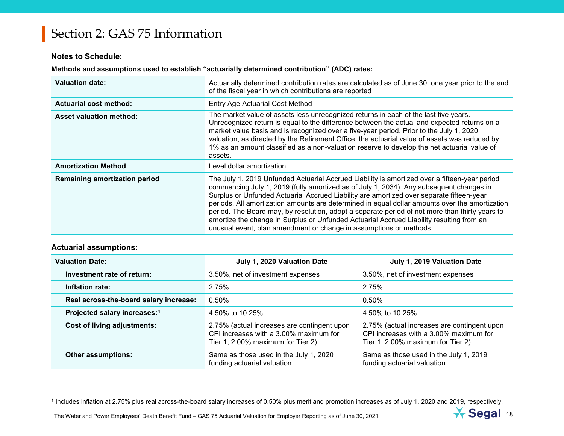#### <span id="page-17-0"></span>**Notes to Schedule:**

#### **Methods and assumptions used to establish "actuarially determined contribution" (ADC) rates:**

| <b>Valuation date:</b>         | Actuarially determined contribution rates are calculated as of June 30, one year prior to the end<br>of the fiscal year in which contributions are reported                                                                                                                                                                                                                                                                                                                                                                                                                                                                                                |
|--------------------------------|------------------------------------------------------------------------------------------------------------------------------------------------------------------------------------------------------------------------------------------------------------------------------------------------------------------------------------------------------------------------------------------------------------------------------------------------------------------------------------------------------------------------------------------------------------------------------------------------------------------------------------------------------------|
| <b>Actuarial cost method:</b>  | Entry Age Actuarial Cost Method                                                                                                                                                                                                                                                                                                                                                                                                                                                                                                                                                                                                                            |
| <b>Asset valuation method:</b> | The market value of assets less unrecognized returns in each of the last five years.<br>Unrecognized return is equal to the difference between the actual and expected returns on a<br>market value basis and is recognized over a five-year period. Prior to the July 1, 2020<br>valuation, as directed by the Retirement Office, the actuarial value of assets was reduced by<br>1% as an amount classified as a non-valuation reserve to develop the net actuarial value of<br>assets.                                                                                                                                                                  |
| <b>Amortization Method</b>     | Level dollar amortization                                                                                                                                                                                                                                                                                                                                                                                                                                                                                                                                                                                                                                  |
| Remaining amortization period  | The July 1, 2019 Unfunded Actuarial Accrued Liability is amortized over a fifteen-year period<br>commencing July 1, 2019 (fully amortized as of July 1, 2034). Any subsequent changes in<br>Surplus or Unfunded Actuarial Accrued Liability are amortized over separate fifteen-year<br>periods. All amortization amounts are determined in equal dollar amounts over the amortization<br>period. The Board may, by resolution, adopt a separate period of not more than thirty years to<br>amortize the change in Surplus or Unfunded Actuarial Accrued Liability resulting from an<br>unusual event, plan amendment or change in assumptions or methods. |

#### **Actuarial assumptions:**

| <b>Valuation Date:</b>                   | July 1, 2020 Valuation Date                                                                                                | July 1, 2019 Valuation Date                                                                                                |
|------------------------------------------|----------------------------------------------------------------------------------------------------------------------------|----------------------------------------------------------------------------------------------------------------------------|
| Investment rate of return:               | 3.50%, net of investment expenses                                                                                          | 3.50%, net of investment expenses                                                                                          |
| Inflation rate:                          | 2.75%                                                                                                                      | 2.75%                                                                                                                      |
| Real across-the-board salary increase:   | $0.50\%$                                                                                                                   | $0.50\%$                                                                                                                   |
| Projected salary increases: <sup>1</sup> | 4.50% to 10.25%                                                                                                            | 4.50% to 10.25%                                                                                                            |
| Cost of living adjustments:              | 2.75% (actual increases are contingent upon<br>CPI increases with a 3,00% maximum for<br>Tier 1, 2.00% maximum for Tier 2) | 2.75% (actual increases are contingent upon<br>CPI increases with a 3,00% maximum for<br>Tier 1, 2.00% maximum for Tier 2) |
| <b>Other assumptions:</b>                | Same as those used in the July 1, 2020<br>funding actuarial valuation                                                      | Same as those used in the July 1, 2019<br>funding actuarial valuation                                                      |

<sup>1</sup> Includes inflation at 2.75% plus real across-the-board salary increases of 0.50% plus merit and promotion increases as of July 1, 2020 and 2019, respectively.

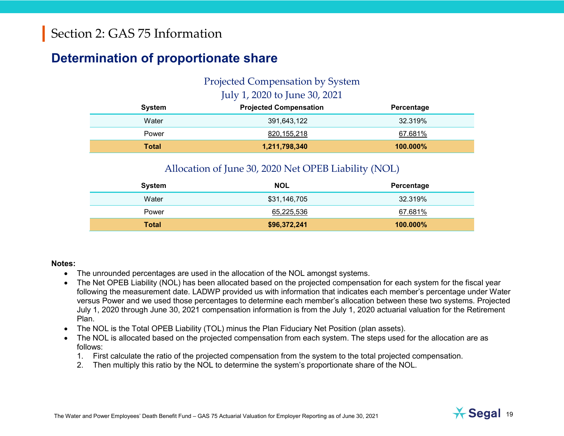#### <span id="page-18-0"></span>**Determination of proportionate share**

#### Projected Compensation by System July 1, [2020](#page--1-0) to June 30, [2021](#page--1-2)

| System       | <b>Projected Compensation</b> | Percentage |
|--------------|-------------------------------|------------|
| Water        | 391,643,122                   | 32.319%    |
| Power        | 820,155,218                   | 67.681%    |
| <b>Total</b> | 1,211,798,340                 | 100.000%   |

#### Allocation of June 30, 2020 Net OPEB Liability (NOL)

| System       | <b>NOL</b>   | Percentage  |
|--------------|--------------|-------------|
| Water        | \$31,146,705 | 32.319%     |
| Power        | 65,225,536   | 67.681%     |
| <b>Total</b> | \$96,372,241 | $100.000\%$ |

#### **Notes:**

- The unrounded percentages are used in the allocation of the NOL amongst systems.
- The Net OPEB Liability (NOL) has been allocated based on the projected compensation for each system for the fiscal year following the measurement date. LADWP provided us with information that indicates each member's percentage under Water versus Power and we used those percentages to determine each member's allocation between these two systems. Projected July 1, 2020 through June 30, 2021 compensation information is from the July 1, 2020 actuarial valuation for the Retirement Plan.
- The NOL is the Total OPEB Liability (TOL) minus the Plan Fiduciary Net Position (plan assets).
- The NOL is allocated based on the projected compensation from each system. The steps used for the allocation are as follows:
	- 1. First calculate the ratio of the projected compensation from the system to the total projected compensation.
	- 2. Then multiply this ratio by the NOL to determine the system's proportionate share of the NOL.

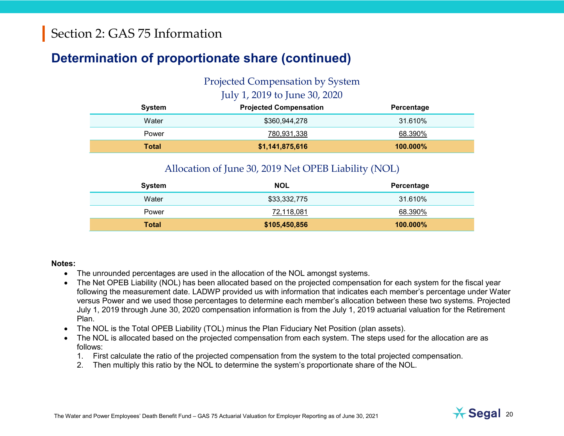### **Determination of proportionate share (continued)**

#### Projected Compensation by System July 1, [2019](#page--1-1) to June 30, [2020](#page--1-0)

| <b>System</b> | <b>Projected Compensation</b> | Percentage |
|---------------|-------------------------------|------------|
| Water         | \$360,944,278                 | 31.610%    |
| Power         | 780,931,338                   | 68.390%    |
| <b>Total</b>  | \$1,141,875,616               | 100.000%   |

#### Allocation of June 30, 2019 Net OPEB Liability (NOL)

| <b>System</b> | <b>NOL</b>    | Percentage  |
|---------------|---------------|-------------|
| Water         | \$33,332,775  | 31.610%     |
| Power         | 72,118,081    | 68.390%     |
| <b>Total</b>  | \$105,450,856 | $100.000\%$ |

#### **Notes:**

- The unrounded percentages are used in the allocation of the NOL amongst systems.
- The Net OPEB Liability (NOL) has been allocated based on the projected compensation for each system for the fiscal year following the measurement date. LADWP provided us with information that indicates each member's percentage under Water versus Power and we used those percentages to determine each member's allocation between these two systems. Projected July 1, 2019 through June 30, 2020 compensation information is from the July 1, 2019 actuarial valuation for the Retirement Plan.
- The NOL is the Total OPEB Liability (TOL) minus the Plan Fiduciary Net Position (plan assets).
- The NOL is allocated based on the projected compensation from each system. The steps used for the allocation are as follows:
	- 1. First calculate the ratio of the projected compensation from the system to the total projected compensation.
	- 2. Then multiply this ratio by the NOL to determine the system's proportionate share of the NOL.

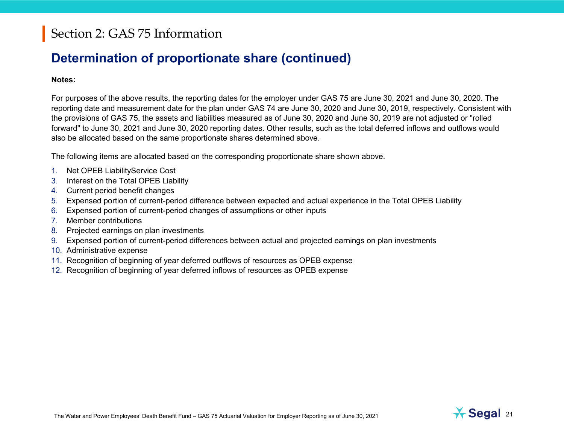#### **Determination of proportionate share (continued)**

#### **Notes:**

For purposes of the above results, the reporting dates for the employer under GAS 75 are June 30, 2021 and June 30, [2020.](#page--1-0) The reporting date and measurement date for the plan under GAS 74 are June 30, [2020](#page--1-0) and June 30, [2019,](#page--1-1) respectively. Consistent with the provisions of GAS 75, the assets and liabilities measured as of June 30, [2020](#page--1-0) and June 30, [2019](#page--1-1) are not adjusted or "rolled forward" to June 30, 2021 and June 30, [2020](#page--1-0) reporting dates. Other results, such as the total deferred inflows and outflows would also be allocated based on the same proportionate shares determined above.

The following items are allocated based on the corresponding proportionate share shown above.

- 1. Net OPEB LiabilityService Cost
- 3. Interest on the Total OPEB Liability
- 4. Current period benefit changes
- 5. Expensed portion of current-period difference between expected and actual experience in the Total OPEB Liability
- 6. Expensed portion of current-period changes of assumptions or other inputs
- 7. Member contributions
- 8. Projected earnings on plan investments
- 9. Expensed portion of current-period differences between actual and projected earnings on plan investments
- 10. Administrative expense
- 11. Recognition of beginning of year deferred outflows of resources as OPEB expense
- <span id="page-20-0"></span>12. Recognition of beginning of year deferred inflows of resources as OPEB expense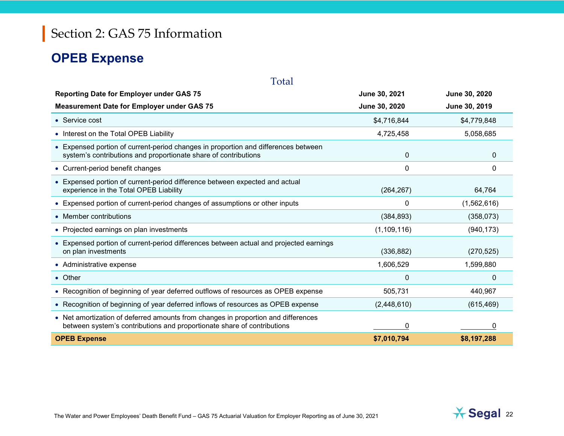#### **OPEB Expense**

| <b>Reporting Date for Employer under GAS 75</b>                                                                                                              | June 30, 2021    | June 30, 2020 |
|--------------------------------------------------------------------------------------------------------------------------------------------------------------|------------------|---------------|
| <b>Measurement Date for Employer under GAS 75</b>                                                                                                            | June 30, 2020    | June 30, 2019 |
| • Service cost                                                                                                                                               | \$4,716,844      | \$4,779,848   |
| • Interest on the Total OPEB Liability                                                                                                                       | 4,725,458        | 5,058,685     |
| • Expensed portion of current-period changes in proportion and differences between<br>system's contributions and proportionate share of contributions        | $\boldsymbol{0}$ | 0             |
| • Current-period benefit changes                                                                                                                             | 0                | 0             |
| • Expensed portion of current-period difference between expected and actual<br>experience in the Total OPEB Liability                                        | (264, 267)       | 64,764        |
| • Expensed portion of current-period changes of assumptions or other inputs                                                                                  | 0                | (1,562,616)   |
| • Member contributions                                                                                                                                       | (384, 893)       | (358, 073)    |
| • Projected earnings on plan investments                                                                                                                     | (1, 109, 116)    | (940, 173)    |
| • Expensed portion of current-period differences between actual and projected earnings<br>on plan investments                                                | (336, 882)       | (270, 525)    |
| • Administrative expense                                                                                                                                     | 1,606,529        | 1,599,880     |
| • Other                                                                                                                                                      | $\Omega$         | 0             |
| • Recognition of beginning of year deferred outflows of resources as OPEB expense                                                                            | 505,731          | 440,967       |
| • Recognition of beginning of year deferred inflows of resources as OPEB expense                                                                             | (2,448,610)      | (615, 469)    |
| • Net amortization of deferred amounts from changes in proportion and differences<br>between system's contributions and proportionate share of contributions | 0                | 0             |
| <b>OPEB Expense</b>                                                                                                                                          | \$7,010,794      | \$8,197,288   |

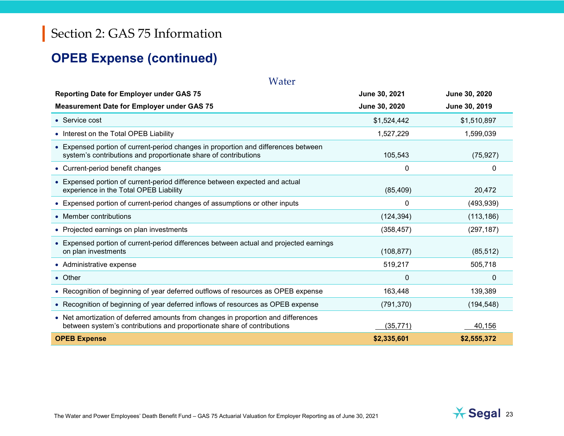#### **OPEB Expense (continued)**

| Water                                                                                                                                                        |               |                      |
|--------------------------------------------------------------------------------------------------------------------------------------------------------------|---------------|----------------------|
| <b>Reporting Date for Employer under GAS 75</b>                                                                                                              | June 30, 2021 | <b>June 30, 2020</b> |
| <b>Measurement Date for Employer under GAS 75</b>                                                                                                            | June 30, 2020 | June 30, 2019        |
| • Service cost                                                                                                                                               | \$1,524,442   | \$1,510,897          |
| • Interest on the Total OPEB Liability                                                                                                                       | 1,527,229     | 1,599,039            |
| • Expensed portion of current-period changes in proportion and differences between<br>system's contributions and proportionate share of contributions        | 105,543       | (75, 927)            |
| • Current-period benefit changes                                                                                                                             | 0             | 0                    |
| • Expensed portion of current-period difference between expected and actual<br>experience in the Total OPEB Liability                                        | (85, 409)     | 20,472               |
| • Expensed portion of current-period changes of assumptions or other inputs                                                                                  | 0             | (493, 939)           |
| • Member contributions                                                                                                                                       | (124, 394)    | (113, 186)           |
| • Projected earnings on plan investments                                                                                                                     | (358, 457)    | (297, 187)           |
| • Expensed portion of current-period differences between actual and projected earnings<br>on plan investments                                                | (108, 877)    | (85, 512)            |
| • Administrative expense                                                                                                                                     | 519,217       | 505,718              |
| • Other                                                                                                                                                      | $\Omega$      | 0                    |
| • Recognition of beginning of year deferred outflows of resources as OPEB expense                                                                            | 163,448       | 139,389              |
| • Recognition of beginning of year deferred inflows of resources as OPEB expense                                                                             | (791, 370)    | (194, 548)           |
| • Net amortization of deferred amounts from changes in proportion and differences<br>between system's contributions and proportionate share of contributions | (35, 771)     | 40,156               |
| <b>OPEB Expense</b>                                                                                                                                          | \$2,335,601   | \$2,555,372          |

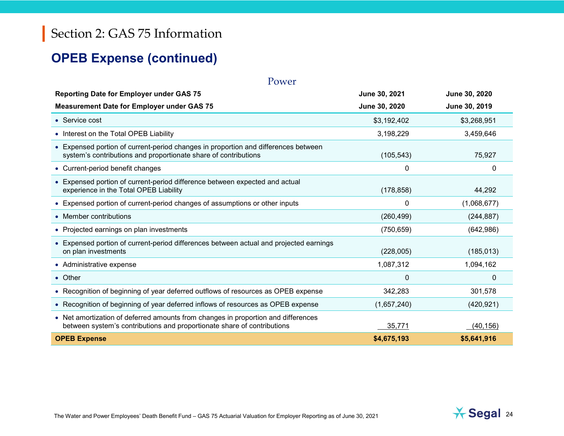#### **OPEB Expense (continued)**

| Power                                                                                                                                                        |               |                      |  |  |
|--------------------------------------------------------------------------------------------------------------------------------------------------------------|---------------|----------------------|--|--|
| <b>Reporting Date for Employer under GAS 75</b>                                                                                                              | June 30, 2021 | <b>June 30, 2020</b> |  |  |
| <b>Measurement Date for Employer under GAS 75</b>                                                                                                            | June 30, 2020 | June 30, 2019        |  |  |
| • Service cost                                                                                                                                               | \$3,192,402   | \$3,268,951          |  |  |
| • Interest on the Total OPEB Liability                                                                                                                       | 3,198,229     | 3,459,646            |  |  |
| • Expensed portion of current-period changes in proportion and differences between<br>system's contributions and proportionate share of contributions        | (105, 543)    | 75,927               |  |  |
| • Current-period benefit changes                                                                                                                             | 0             | 0                    |  |  |
| • Expensed portion of current-period difference between expected and actual<br>experience in the Total OPEB Liability                                        | (178, 858)    | 44,292               |  |  |
| • Expensed portion of current-period changes of assumptions or other inputs                                                                                  | 0             | (1,068,677)          |  |  |
| • Member contributions                                                                                                                                       | (260, 499)    | (244, 887)           |  |  |
| • Projected earnings on plan investments                                                                                                                     | (750, 659)    | (642,986)            |  |  |
| • Expensed portion of current-period differences between actual and projected earnings<br>on plan investments                                                | (228,005)     | (185, 013)           |  |  |
| • Administrative expense                                                                                                                                     | 1,087,312     | 1,094,162            |  |  |
| • Other                                                                                                                                                      | $\Omega$      | 0                    |  |  |
| • Recognition of beginning of year deferred outflows of resources as OPEB expense                                                                            | 342,283       | 301,578              |  |  |
| • Recognition of beginning of year deferred inflows of resources as OPEB expense                                                                             | (1,657,240)   | (420, 921)           |  |  |
| • Net amortization of deferred amounts from changes in proportion and differences<br>between system's contributions and proportionate share of contributions | 35,771        | (40, 156)            |  |  |
| <b>OPEB Expense</b>                                                                                                                                          | \$4,675,193   | \$5,641,916          |  |  |

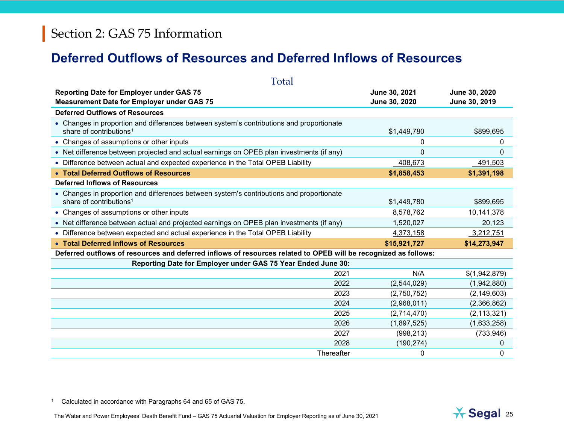#### <span id="page-24-0"></span>**Deferred Outflows of Resources and Deferred Inflows of Resources**

| Total                                                                                                                           |               |               |
|---------------------------------------------------------------------------------------------------------------------------------|---------------|---------------|
| <b>Reporting Date for Employer under GAS 75</b>                                                                                 | June 30, 2021 | June 30, 2020 |
| <b>Measurement Date for Employer under GAS 75</b>                                                                               | June 30, 2020 | June 30, 2019 |
| <b>Deferred Outflows of Resources</b>                                                                                           |               |               |
| • Changes in proportion and differences between system's contributions and proportionate<br>share of contributions <sup>1</sup> | \$1,449,780   | \$899,695     |
| • Changes of assumptions or other inputs                                                                                        | 0             | 0             |
| • Net difference between projected and actual earnings on OPEB plan investments (if any)                                        | $\Omega$      | $\Omega$      |
| • Difference between actual and expected experience in the Total OPEB Liability                                                 | 408,673       | 491,503       |
| • Total Deferred Outflows of Resources                                                                                          | \$1,858,453   | \$1,391,198   |
| <b>Deferred Inflows of Resources</b>                                                                                            |               |               |
| • Changes in proportion and differences between system's contributions and proportionate<br>share of contributions <sup>1</sup> | \$1,449,780   | \$899,695     |
| • Changes of assumptions or other inputs                                                                                        | 8,578,762     | 10,141,378    |
| • Net difference between actual and projected earnings on OPEB plan investments (if any)                                        | 1,520,027     | 20,123        |
| • Difference between expected and actual experience in the Total OPEB Liability                                                 | 4,373,158     | 3,212,751     |
| • Total Deferred Inflows of Resources                                                                                           | \$15,921,727  | \$14,273,947  |
| Deferred outflows of resources and deferred inflows of resources related to OPEB will be recognized as follows:                 |               |               |
| Reporting Date for Employer under GAS 75 Year Ended June 30:                                                                    |               |               |
| 2021                                                                                                                            | N/A           | \$(1,942,879) |
| 2022                                                                                                                            | (2,544,029)   | (1,942,880)   |
| 2023                                                                                                                            | (2,750,752)   | (2, 149, 603) |
| 2024                                                                                                                            | (2,968,011)   | (2,366,862)   |
| 2025                                                                                                                            | (2,714,470)   | (2, 113, 321) |
| 2026                                                                                                                            | (1,897,525)   | (1,633,258)   |
| 2027                                                                                                                            | (998, 213)    | (733, 946)    |
| 2028                                                                                                                            | (190, 274)    | 0             |
| Thereafter                                                                                                                      | 0             | 0             |

<sup>1</sup> Calculated in accordance with Paragraphs 64 and 65 of GAS 75.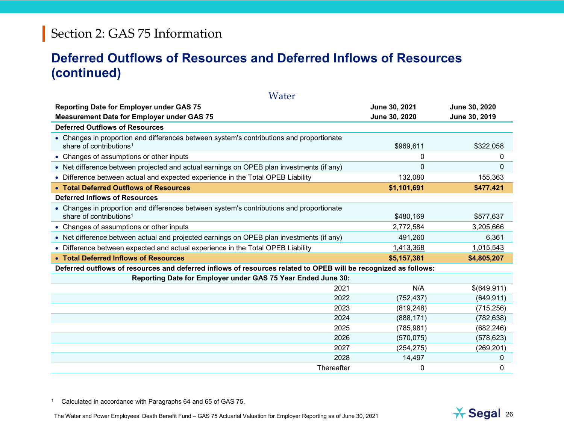#### <span id="page-25-0"></span>**Deferred Outflows of Resources and Deferred Inflows of Resources (continued)**

| Water                                                                                                                           |               |               |
|---------------------------------------------------------------------------------------------------------------------------------|---------------|---------------|
| <b>Reporting Date for Employer under GAS 75</b>                                                                                 | June 30, 2021 | June 30, 2020 |
| <b>Measurement Date for Employer under GAS 75</b>                                                                               | June 30, 2020 | June 30, 2019 |
| <b>Deferred Outflows of Resources</b>                                                                                           |               |               |
| • Changes in proportion and differences between system's contributions and proportionate<br>share of contributions <sup>1</sup> | \$969,611     | \$322,058     |
| • Changes of assumptions or other inputs                                                                                        | 0             | 0             |
| • Net difference between projected and actual earnings on OPEB plan investments (if any)                                        | 0             | 0             |
| • Difference between actual and expected experience in the Total OPEB Liability                                                 | 132,080       | 155,363       |
| • Total Deferred Outflows of Resources                                                                                          | \$1,101,691   | \$477,421     |
| <b>Deferred Inflows of Resources</b>                                                                                            |               |               |
| • Changes in proportion and differences between system's contributions and proportionate<br>share of contributions <sup>1</sup> | \$480,169     | \$577,637     |
| • Changes of assumptions or other inputs                                                                                        | 2,772,584     | 3,205,666     |
| • Net difference between actual and projected earnings on OPEB plan investments (if any)                                        | 491,260       | 6,361         |
| • Difference between expected and actual experience in the Total OPEB Liability                                                 | 1,413,368     | 1,015,543     |
| • Total Deferred Inflows of Resources                                                                                           | \$5,157,381   | \$4,805,207   |
| Deferred outflows of resources and deferred inflows of resources related to OPEB will be recognized as follows:                 |               |               |
| Reporting Date for Employer under GAS 75 Year Ended June 30:                                                                    |               |               |
| 2021                                                                                                                            | N/A           | \$(649,911)   |
| 2022                                                                                                                            | (752, 437)    | (649, 911)    |
| 2023                                                                                                                            | (819, 248)    | (715, 256)    |
| 2024                                                                                                                            | (888, 171)    | (782, 638)    |
| 2025                                                                                                                            | (785, 981)    | (682, 246)    |
| 2026                                                                                                                            | (570, 075)    | (578, 623)    |
| 2027                                                                                                                            | (254, 275)    | (269, 201)    |
| 2028                                                                                                                            | 14,497        | 0             |
| Thereafter                                                                                                                      | 0             | 0             |

<sup>1</sup> Calculated in accordance with Paragraphs 64 and 65 of GAS 75.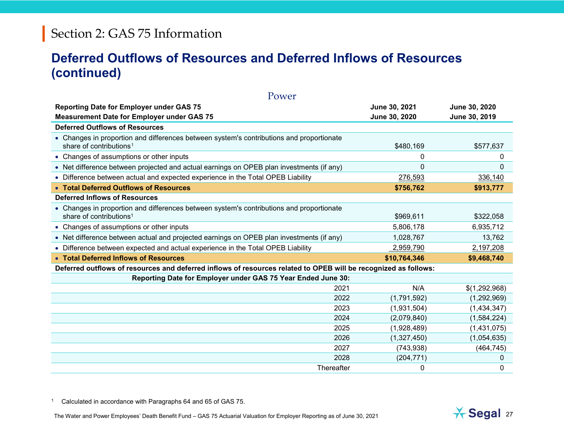#### <span id="page-26-0"></span>**Deferred Outflows of Resources and Deferred Inflows of Resources (continued)**

| Power                                                                                                                           |               |               |  |  |  |  |  |  |  |
|---------------------------------------------------------------------------------------------------------------------------------|---------------|---------------|--|--|--|--|--|--|--|
| <b>Reporting Date for Employer under GAS 75</b>                                                                                 | June 30, 2021 | June 30, 2020 |  |  |  |  |  |  |  |
| <b>Measurement Date for Employer under GAS 75</b>                                                                               | June 30, 2020 | June 30, 2019 |  |  |  |  |  |  |  |
| <b>Deferred Outflows of Resources</b>                                                                                           |               |               |  |  |  |  |  |  |  |
| • Changes in proportion and differences between system's contributions and proportionate<br>share of contributions <sup>1</sup> | \$480,169     | \$577,637     |  |  |  |  |  |  |  |
| • Changes of assumptions or other inputs                                                                                        | 0             | 0             |  |  |  |  |  |  |  |
| • Net difference between projected and actual earnings on OPEB plan investments (if any)                                        | 0             | $\Omega$      |  |  |  |  |  |  |  |
| • Difference between actual and expected experience in the Total OPEB Liability                                                 | 276,593       | 336,140       |  |  |  |  |  |  |  |
| • Total Deferred Outflows of Resources                                                                                          | \$756,762     | \$913,777     |  |  |  |  |  |  |  |
| <b>Deferred Inflows of Resources</b>                                                                                            |               |               |  |  |  |  |  |  |  |
| • Changes in proportion and differences between system's contributions and proportionate<br>share of contributions <sup>1</sup> | \$969,611     | \$322,058     |  |  |  |  |  |  |  |
| • Changes of assumptions or other inputs                                                                                        | 5,806,178     | 6,935,712     |  |  |  |  |  |  |  |
| • Net difference between actual and projected earnings on OPEB plan investments (if any)                                        | 1,028,767     | 13,762        |  |  |  |  |  |  |  |
| • Difference between expected and actual experience in the Total OPEB Liability                                                 | 2,959,790     | 2,197,208     |  |  |  |  |  |  |  |
| • Total Deferred Inflows of Resources                                                                                           | \$10,764,346  | \$9,468,740   |  |  |  |  |  |  |  |
| Deferred outflows of resources and deferred inflows of resources related to OPEB will be recognized as follows:                 |               |               |  |  |  |  |  |  |  |
| Reporting Date for Employer under GAS 75 Year Ended June 30:                                                                    |               |               |  |  |  |  |  |  |  |
| 2021                                                                                                                            | N/A           | \$(1,292,968) |  |  |  |  |  |  |  |
| 2022                                                                                                                            | (1,791,592)   | (1,292,969)   |  |  |  |  |  |  |  |
| 2023                                                                                                                            | (1,931,504)   | (1,434,347)   |  |  |  |  |  |  |  |
| 2024                                                                                                                            | (2,079,840)   | (1,584,224)   |  |  |  |  |  |  |  |
| 2025                                                                                                                            | (1,928,489)   | (1,431,075)   |  |  |  |  |  |  |  |
| 2026                                                                                                                            | (1,327,450)   | (1,054,635)   |  |  |  |  |  |  |  |
| 2027                                                                                                                            | (743, 938)    | (464, 745)    |  |  |  |  |  |  |  |
| 2028                                                                                                                            | (204, 771)    | 0             |  |  |  |  |  |  |  |
| Thereafter                                                                                                                      | 0             | 0             |  |  |  |  |  |  |  |

<sup>1</sup> Calculated in accordance with Paragraphs 64 and 65 of GAS 75.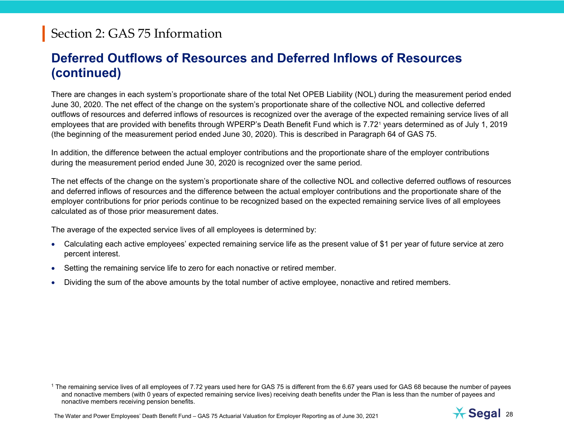#### <span id="page-27-0"></span>**Deferred Outflows of Resources and Deferred Inflows of Resources (continued)**

There are changes in each system's proportionate share of the total Net OPEB Liability (NOL) during the measurement period ended June 30, [2020.](#page--1-0) The net effect of the change on the system's proportionate share of the collective NOL and collective deferred outflows of resources and deferred inflows of resources is recognized over the average of the expected remaining service lives of all employees that are provided with benefits through WPERP's Death Benefit Fund which is 7.72[1](#page-27-0) years determined as of July 1, [2019](#page--1-1) (the beginning of the measurement period ended June 30, [2020\)](#page--1-0). This is described in Paragraph 64 of GAS 75.

In addition, the difference between the actual employer contributions and the proportionate share of the employer contributions during the measurement period ended June 30, [2020](#page--1-0) is recognized over the same period.

The net effects of the change on the system's proportionate share of the collective NOL and collective deferred outflows of resources and deferred inflows of resources and the difference between the actual employer contributions and the proportionate share of the employer contributions for prior periods continue to be recognized based on the expected remaining service lives of all employees calculated as of those prior measurement dates.

The average of the expected service lives of all employees is determined by:

- Calculating each active employees' expected remaining service life as the present value of \$1 per year of future service at zero percent interest.
- Setting the remaining service life to zero for each nonactive or retired member.
- Dividing the sum of the above amounts by the total number of active employee, nonactive and retired members.



<sup>&</sup>lt;sup>1</sup> The remaining service lives of all employees of 7.72 years used here for GAS 75 is different from the 6.67 years used for GAS 68 because the number of payees and nonactive members (with 0 years of expected remaining service lives) receiving death benefits under the Plan is less than the number of payees and nonactive members receiving pension benefits.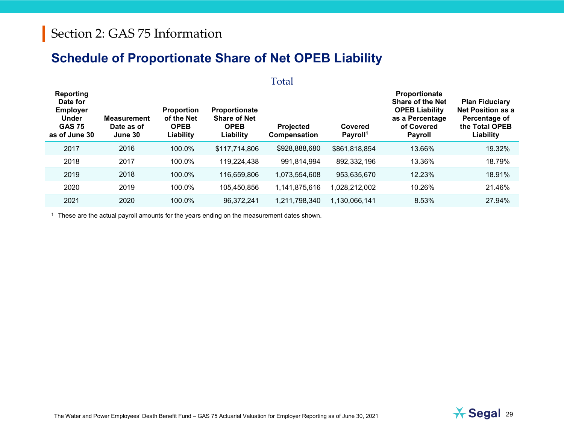#### **Schedule of Proportionate Share of Net OPEB Liability**

Total

| <b>Reporting</b><br>Date for<br><b>Employer</b><br><b>Under</b><br><b>GAS 75</b><br>as of June 30 | <b>Measurement</b><br>Date as of<br>June 30 | <b>Proportion</b><br>of the Net<br><b>OPEB</b><br>Liability | Proportionate<br><b>Share of Net</b><br><b>OPEB</b><br>Liability | <b>Projected</b><br>Compensation | Covered<br>Payroll <sup>1</sup> | Proportionate<br><b>Share of the Net</b><br><b>OPEB Liability</b><br>as a Percentage<br>of Covered<br>Payroll | <b>Plan Fiduciary</b><br><b>Net Position as a</b><br>Percentage of<br>the Total OPEB<br>Liability |
|---------------------------------------------------------------------------------------------------|---------------------------------------------|-------------------------------------------------------------|------------------------------------------------------------------|----------------------------------|---------------------------------|---------------------------------------------------------------------------------------------------------------|---------------------------------------------------------------------------------------------------|
| 2017                                                                                              | 2016                                        | 100.0%                                                      | \$117,714,806                                                    | \$928,888,680                    | \$861,818,854                   | 13.66%                                                                                                        | 19.32%                                                                                            |
| 2018                                                                                              | 2017                                        | 100.0%                                                      | 119,224,438                                                      | 991,814,994                      | 892,332,196                     | 13.36%                                                                                                        | 18.79%                                                                                            |
| 2019                                                                                              | 2018                                        | 100.0%                                                      | 116,659,806                                                      | 1,073,554,608                    | 953,635,670                     | 12.23%                                                                                                        | 18.91%                                                                                            |
| 2020                                                                                              | 2019                                        | 100.0%                                                      | 105,450,856                                                      | 1,141,875,616                    | 1,028,212,002                   | 10.26%                                                                                                        | 21.46%                                                                                            |
| 2021                                                                                              | 2020                                        | 100.0%                                                      | 96,372,241                                                       | 1,211,798,340                    | 1,130,066,141                   | 8.53%                                                                                                         | 27.94%                                                                                            |

<sup>1</sup> These are the actual payroll amounts for the years ending on the measurement dates shown.

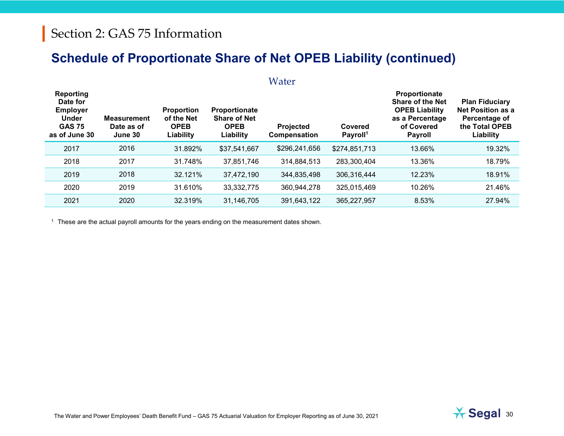#### **Schedule of Proportionate Share of Net OPEB Liability (continued)**

|                                                                                                   |                                             |                                                             |                                                                  | Water                            |                                 |                                                                                                                             |                                                                                                   |
|---------------------------------------------------------------------------------------------------|---------------------------------------------|-------------------------------------------------------------|------------------------------------------------------------------|----------------------------------|---------------------------------|-----------------------------------------------------------------------------------------------------------------------------|---------------------------------------------------------------------------------------------------|
| <b>Reporting</b><br>Date for<br><b>Employer</b><br><b>Under</b><br><b>GAS 75</b><br>as of June 30 | <b>Measurement</b><br>Date as of<br>June 30 | <b>Proportion</b><br>of the Net<br><b>OPEB</b><br>Liability | Proportionate<br><b>Share of Net</b><br><b>OPEB</b><br>Liability | <b>Projected</b><br>Compensation | Covered<br>Payroll <sup>1</sup> | <b>Proportionate</b><br><b>Share of the Net</b><br><b>OPEB Liability</b><br>as a Percentage<br>of Covered<br><b>Payroll</b> | <b>Plan Fiduciary</b><br><b>Net Position as a</b><br>Percentage of<br>the Total OPEB<br>Liability |
| 2017                                                                                              | 2016                                        | 31.892%                                                     | \$37,541,667                                                     | \$296,241,656                    | \$274,851,713                   | 13.66%                                                                                                                      | 19.32%                                                                                            |
| 2018                                                                                              | 2017                                        | 31.748%                                                     | 37,851,746                                                       | 314,884,513                      | 283,300,404                     | 13.36%                                                                                                                      | 18.79%                                                                                            |
| 2019                                                                                              | 2018                                        | 32.121%                                                     | 37,472,190                                                       | 344,835,498                      | 306,316,444                     | 12.23%                                                                                                                      | 18.91%                                                                                            |
| 2020                                                                                              | 2019                                        | 31.610%                                                     | 33, 332, 775                                                     | 360,944,278                      | 325,015,469                     | 10.26%                                                                                                                      | 21.46%                                                                                            |
| 2021                                                                                              | 2020                                        | 32.319%                                                     | 31,146,705                                                       | 391,643,122                      | 365,227,957                     | 8.53%                                                                                                                       | 27.94%                                                                                            |

<sup>1</sup> These are the actual payroll amounts for the years ending on the measurement dates shown.

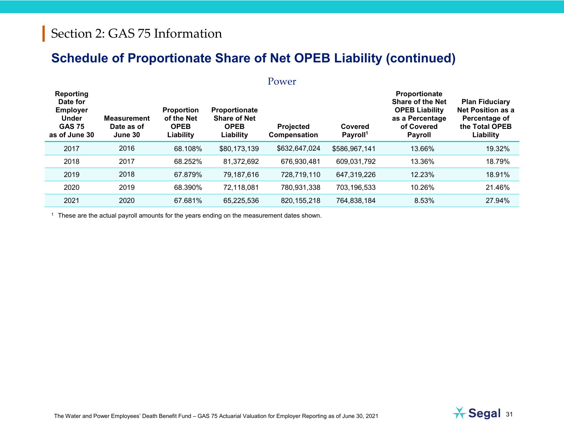#### **Schedule of Proportionate Share of Net OPEB Liability (continued)**

|                                                                                            |                                             |                                                      |                                                                  | Power                     |                                 |                                                                                                                             |                                                                                            |
|--------------------------------------------------------------------------------------------|---------------------------------------------|------------------------------------------------------|------------------------------------------------------------------|---------------------------|---------------------------------|-----------------------------------------------------------------------------------------------------------------------------|--------------------------------------------------------------------------------------------|
| Reporting<br>Date for<br><b>Employer</b><br><b>Under</b><br><b>GAS 75</b><br>as of June 30 | <b>Measurement</b><br>Date as of<br>June 30 | Proportion<br>of the Net<br><b>OPEB</b><br>Liability | Proportionate<br><b>Share of Net</b><br><b>OPEB</b><br>Liability | Projected<br>Compensation | Covered<br>Payroll <sup>1</sup> | <b>Proportionate</b><br><b>Share of the Net</b><br><b>OPEB Liability</b><br>as a Percentage<br>of Covered<br><b>Payroll</b> | <b>Plan Fiduciary</b><br>Net Position as a<br>Percentage of<br>the Total OPEB<br>Liability |
| 2017                                                                                       | 2016                                        | 68.108%                                              | \$80,173,139                                                     | \$632,647,024             | \$586,967,141                   | 13.66%                                                                                                                      | 19.32%                                                                                     |
| 2018                                                                                       | 2017                                        | 68.252%                                              | 81,372,692                                                       | 676,930,481               | 609,031,792                     | 13.36%                                                                                                                      | 18.79%                                                                                     |
| 2019                                                                                       | 2018                                        | 67.879%                                              | 79,187,616                                                       | 728,719,110               | 647,319,226                     | 12.23%                                                                                                                      | 18.91%                                                                                     |
| 2020                                                                                       | 2019                                        | 68.390%                                              | 72,118,081                                                       | 780,931,338               | 703,196,533                     | 10.26%                                                                                                                      | 21.46%                                                                                     |
| 2021                                                                                       | 2020                                        | 67.681%                                              | 65,225,536                                                       | 820, 155, 218             | 764,838,184                     | 8.53%                                                                                                                       | 27.94%                                                                                     |

<sup>1</sup> These are the actual payroll amounts for the years ending on the measurement dates shown.

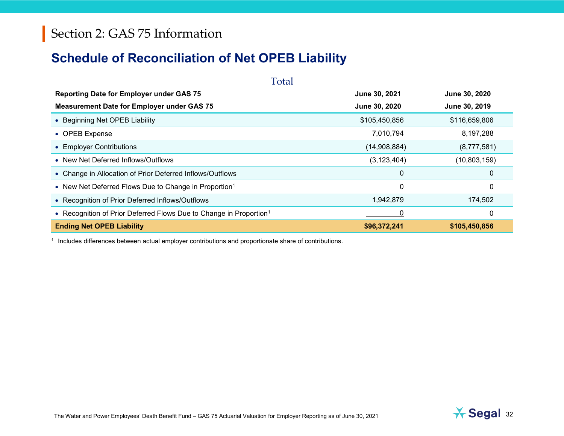#### **Schedule of Reconciliation of Net OPEB Liability**

| Total                                                                          |               |               |  |  |  |  |  |  |  |  |
|--------------------------------------------------------------------------------|---------------|---------------|--|--|--|--|--|--|--|--|
| <b>Reporting Date for Employer under GAS 75</b>                                | June 30, 2021 | June 30, 2020 |  |  |  |  |  |  |  |  |
| <b>Measurement Date for Employer under GAS 75</b>                              | June 30, 2020 | June 30, 2019 |  |  |  |  |  |  |  |  |
| • Beginning Net OPEB Liability                                                 | \$105,450,856 | \$116,659,806 |  |  |  |  |  |  |  |  |
| • OPEB Expense                                                                 | 7,010,794     | 8,197,288     |  |  |  |  |  |  |  |  |
| • Employer Contributions                                                       | (14,908,884)  | (8,777,581)   |  |  |  |  |  |  |  |  |
| • New Net Deferred Inflows/Outflows                                            | (3, 123, 404) | (10,803,159)  |  |  |  |  |  |  |  |  |
| • Change in Allocation of Prior Deferred Inflows/Outflows                      | $\mathbf 0$   | 0             |  |  |  |  |  |  |  |  |
| • New Net Deferred Flows Due to Change in Proportion <sup>1</sup>              | 0             | 0             |  |  |  |  |  |  |  |  |
| • Recognition of Prior Deferred Inflows/Outflows                               | 1,942,879     | 174,502       |  |  |  |  |  |  |  |  |
| • Recognition of Prior Deferred Flows Due to Change in Proportion <sup>1</sup> | 0             |               |  |  |  |  |  |  |  |  |
| <b>Ending Net OPEB Liability</b>                                               | \$96,372,241  | \$105,450,856 |  |  |  |  |  |  |  |  |

<sup>1</sup> Includes differences between actual employer contributions and proportionate share of contributions.

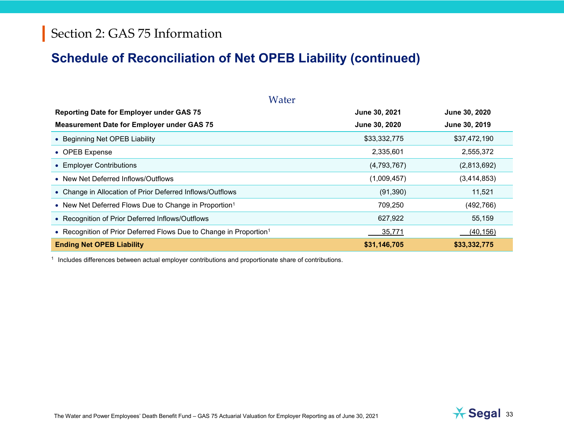#### **Schedule of Reconciliation of Net OPEB Liability (continued)**

| Water                                                                          |               |               |  |  |  |  |  |  |  |  |
|--------------------------------------------------------------------------------|---------------|---------------|--|--|--|--|--|--|--|--|
| <b>Reporting Date for Employer under GAS 75</b>                                | June 30, 2021 | June 30, 2020 |  |  |  |  |  |  |  |  |
| <b>Measurement Date for Employer under GAS 75</b>                              | June 30, 2020 | June 30, 2019 |  |  |  |  |  |  |  |  |
| • Beginning Net OPEB Liability                                                 | \$33,332,775  | \$37,472,190  |  |  |  |  |  |  |  |  |
| • OPEB Expense                                                                 | 2,335,601     | 2,555,372     |  |  |  |  |  |  |  |  |
| • Employer Contributions                                                       | (4,793,767)   | (2,813,692)   |  |  |  |  |  |  |  |  |
| • New Net Deferred Inflows/Outflows                                            | (1,009,457)   | (3,414,853)   |  |  |  |  |  |  |  |  |
| • Change in Allocation of Prior Deferred Inflows/Outflows                      | (91, 390)     | 11,521        |  |  |  |  |  |  |  |  |
| • New Net Deferred Flows Due to Change in Proportion <sup>1</sup>              | 709,250       | (492, 766)    |  |  |  |  |  |  |  |  |
| • Recognition of Prior Deferred Inflows/Outflows                               | 627,922       | 55,159        |  |  |  |  |  |  |  |  |
| • Recognition of Prior Deferred Flows Due to Change in Proportion <sup>1</sup> | 35,771        | (40, 156)     |  |  |  |  |  |  |  |  |
| <b>Ending Net OPEB Liability</b>                                               | \$31,146,705  | \$33,332,775  |  |  |  |  |  |  |  |  |

<sup>1</sup> Includes differences between actual employer contributions and proportionate share of contributions.

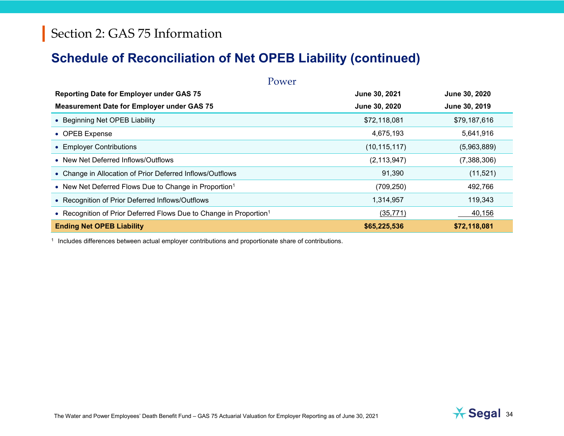#### **Schedule of Reconciliation of Net OPEB Liability (continued)**

| Power                                                                          |                |               |  |  |  |  |  |  |  |  |
|--------------------------------------------------------------------------------|----------------|---------------|--|--|--|--|--|--|--|--|
| <b>Reporting Date for Employer under GAS 75</b>                                | June 30, 2021  | June 30, 2020 |  |  |  |  |  |  |  |  |
| <b>Measurement Date for Employer under GAS 75</b>                              | June 30, 2020  | June 30, 2019 |  |  |  |  |  |  |  |  |
| • Beginning Net OPEB Liability                                                 | \$72,118,081   | \$79,187,616  |  |  |  |  |  |  |  |  |
| • OPEB Expense                                                                 | 4,675,193      | 5,641,916     |  |  |  |  |  |  |  |  |
| • Employer Contributions                                                       | (10, 115, 117) | (5,963,889)   |  |  |  |  |  |  |  |  |
| • New Net Deferred Inflows/Outflows                                            | (2, 113, 947)  | (7,388,306)   |  |  |  |  |  |  |  |  |
| • Change in Allocation of Prior Deferred Inflows/Outflows                      | 91,390         | (11,521)      |  |  |  |  |  |  |  |  |
| • New Net Deferred Flows Due to Change in Proportion <sup>1</sup>              | (709, 250)     | 492,766       |  |  |  |  |  |  |  |  |
| • Recognition of Prior Deferred Inflows/Outflows                               | 1,314,957      | 119,343       |  |  |  |  |  |  |  |  |
| • Recognition of Prior Deferred Flows Due to Change in Proportion <sup>1</sup> | (35, 771)      | 40,156        |  |  |  |  |  |  |  |  |
| <b>Ending Net OPEB Liability</b>                                               | \$65,225,536   | \$72,118,081  |  |  |  |  |  |  |  |  |

<sup>1</sup> Includes differences between actual employer contributions and proportionate share of contributions.

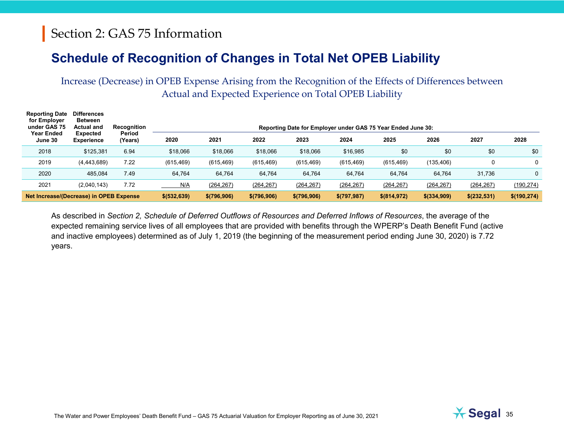#### **Schedule of Recognition of Changes in Total Net OPEB Liability**

Increase (Decrease) in OPEB Expense Arising from the Recognition of the Effects of Differences between Actual and Expected Experience on Total OPEB Liability

| <b>Reporting Date</b><br>for Employer<br>under GAS 75 | <b>Differences</b><br><b>Between</b><br><b>Actual and</b> | Recognition<br>Period | Reporting Date for Employer under GAS 75 Year Ended June 30: |               |               |             |              |               |              |              |             |  |
|-------------------------------------------------------|-----------------------------------------------------------|-----------------------|--------------------------------------------------------------|---------------|---------------|-------------|--------------|---------------|--------------|--------------|-------------|--|
| Year Ended<br>June 30                                 | Expected<br><b>Experience</b>                             | (Years)               | 2020                                                         | 2021          | 2022          | 2023        | 2024         | 2025          | 2026         | 2027         | 2028        |  |
| 2018                                                  | \$125,381                                                 | 6.94                  | \$18,066                                                     | \$18,066      | \$18,066      | \$18,066    | \$16,985     | \$0           | \$0          | \$0          | \$0         |  |
| 2019                                                  | (4, 443, 689)                                             | 7.22                  | (615, 469)                                                   | (615, 469)    | (615, 469)    | (615, 469)  | (615, 469)   | (615, 469)    | (135, 406)   | 0            | 0           |  |
| 2020                                                  | 485.084                                                   | 7.49                  | 64,764                                                       | 64,764        | 64,764        | 64,764      | 64.764       | 64.764        | 64.764       | 31.736       | 0           |  |
| 2021                                                  | (2,040,143)                                               | 7.72                  | N/A                                                          | (264, 267)    | (264, 267)    | (264, 267)  | (264, 267)   | (264, 267)    | (264, 267)   | (264, 267)   | (190, 274)  |  |
| Net Increase/(Decrease) in OPEB Expense               |                                                           |                       | \$ (532, 639)                                                | \$ (796, 906) | \$ (796, 906) | \$(796,906) | \$(797, 987) | \$ (814, 972) | \$ (334,909) | \$(232, 531) | \$(190,274) |  |

As described in *Section 2, Schedule of Deferred Outflows of Resources and Deferred Inflows of Resources*, the average of the expected remaining service lives of all employees that are provided with benefits through the WPERP's Death Benefit Fund (active and inactive employees) determined as of July 1, [2019](#page--1-1) (the beginning of the measurement period ending June 30, [2020\)](#page--1-0) is 7.72 years.

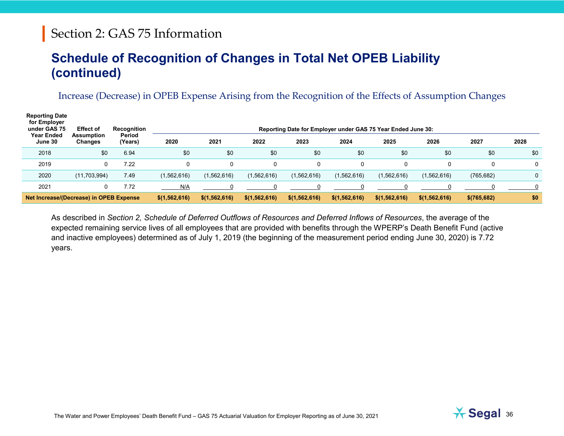#### **Schedule of Recognition of Changes in Total Net OPEB Liability (continued)**

#### Increase (Decrease) in OPEB Expense Arising from the Recognition of the Effects of Assumption Changes

| <b>Reporting Date</b><br>for Employer<br>under GAS 75<br><b>Year Ended</b> | <b>Effect of</b><br><b>Assumption</b> | Recognition<br>Period | Reporting Date for Employer under GAS 75 Year Ended June 30: |                 |                 |                 |                 |                 |                 |              |      |
|----------------------------------------------------------------------------|---------------------------------------|-----------------------|--------------------------------------------------------------|-----------------|-----------------|-----------------|-----------------|-----------------|-----------------|--------------|------|
| June 30                                                                    | Changes                               | (Years)               | 2020                                                         | 2021            | 2022            | 2023            | 2024            | 2025            | 2026            | 2027         | 2028 |
| 2018                                                                       | \$0                                   | 6.94                  | \$0                                                          | \$0             | \$0             | \$0             | \$0             | \$0             | \$0             | \$0          | \$0  |
| 2019                                                                       | 0                                     | 7.22                  | 0                                                            | 0               | 0               | $\Omega$        |                 |                 |                 | 0            | 0    |
| 2020                                                                       | (11, 703, 994)                        | 7.49                  | (1,562,616)                                                  | (1,562,616)     | (1,562,616)     | (1,562,616)     | (1,562,616)     | (1,562,616)     | (1,562,616)     | (765, 682)   | 0    |
| 2021                                                                       | 0                                     | 7.72                  | N/A                                                          |                 |                 |                 |                 |                 |                 |              |      |
| Net Increase/(Decrease) in OPEB Expense                                    |                                       |                       | \$(1, 562, 616)                                              | \$(1, 562, 616) | \$(1, 562, 616) | \$(1, 562, 616) | \$(1, 562, 616) | \$(1, 562, 616) | \$(1, 562, 616) | \$(765, 682) | \$0  |

As described in *Section 2, Schedule of Deferred Outflows of Resources and Deferred Inflows of Resources*, the average of the expected remaining service lives of all employees that are provided with benefits through the WPERP's Death Benefit Fund (active and inactive employees) determined as of July 1, [2019](#page--1-1) (the beginning of the measurement period ending June 30, [2020\)](#page--1-0) is 7.72 years.

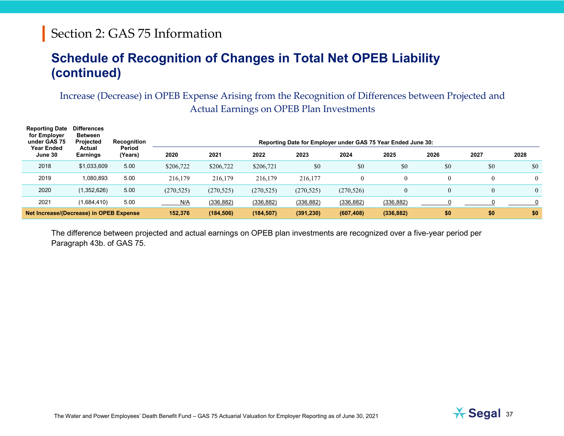#### **Schedule of Recognition of Changes in Total Net OPEB Liability (continued)**

Increase (Decrease) in OPEB Expense Arising from the Recognition of Differences between Projected and Actual Earnings on OPEB Plan Investments

| <b>Reporting Date</b><br>for Employer<br>under GAS 75<br><b>Year Ended</b> | <b>Differences</b><br><b>Between</b><br>Projected<br>Actual | Recognition<br>Reporting Date for Employer under GAS 75 Year Ended June 30:<br>Period |            |            |            |            |            |                |      |      |                |
|----------------------------------------------------------------------------|-------------------------------------------------------------|---------------------------------------------------------------------------------------|------------|------------|------------|------------|------------|----------------|------|------|----------------|
| June 30                                                                    | <b>Earnings</b>                                             | (Years)                                                                               | 2020       | 2021       | 2022       | 2023       | 2024       | 2025           | 2026 | 2027 | 2028           |
| 2018                                                                       | \$1,033,609                                                 | 5.00                                                                                  | \$206,722  | \$206,722  | \$206,721  | \$0        | \$0        | \$0            | \$0  | \$0  | \$0            |
| 2019                                                                       | 1.080.893                                                   | 5.00                                                                                  | 216,179    | 216,179    | 216,179    | 216,177    |            |                |      |      | $\overline{0}$ |
| 2020                                                                       | (1,352,626)                                                 | 5.00                                                                                  | (270, 525) | (270, 525) | (270, 525) | (270, 525) | (270, 526) | $\overline{0}$ |      |      | $\Omega$       |
| 2021                                                                       | (1,684,410)                                                 | 5.00                                                                                  | N/A        | (336, 882) | (336, 882) | (336, 882) | (336, 882) | (336, 882)     |      |      |                |
| Net Increase/(Decrease) in OPEB Expense                                    |                                                             |                                                                                       | 152,376    | (184, 506) | (184, 507) | (391, 230) | (607, 408) | (336, 882)     | \$0  | \$0  | \$0            |

The difference between projected and actual earnings on OPEB plan investments are recognized over a five-year period per Paragraph 43b. of GAS 75.

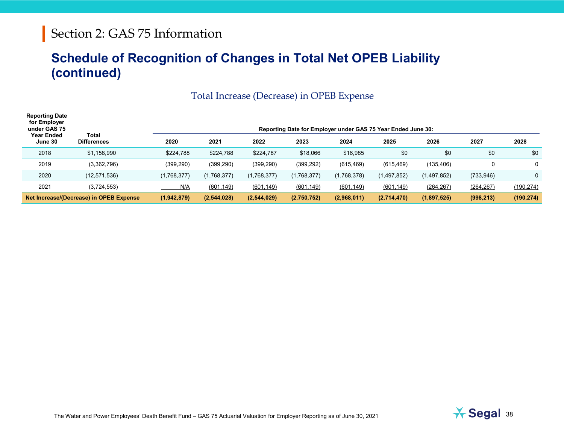#### **Schedule of Recognition of Changes in Total Net OPEB Liability (continued)**

| Total Increase (Decrease) in OPEB Expense |  |
|-------------------------------------------|--|
|                                           |  |

| <b>Reporting Date</b><br>for Employer<br>under GAS 75<br>Year Ended | Total                                   | Reporting Date for Employer under GAS 75 Year Ended June 30: |             |             |             |             |             |             |             |              |
|---------------------------------------------------------------------|-----------------------------------------|--------------------------------------------------------------|-------------|-------------|-------------|-------------|-------------|-------------|-------------|--------------|
| June 30                                                             | <b>Differences</b>                      | 2020                                                         | 2021        | 2022        | 2023        | 2024        | 2025        | 2026        | 2027        | 2028         |
| 2018                                                                | \$1,158,990                             | \$224,788                                                    | \$224,788   | \$224,787   | \$18,066    | \$16,985    | \$0         | \$0         | \$0         | \$0          |
| 2019                                                                | (3,362,796)                             | (399, 290)                                                   | (399, 290)  | (399, 290)  | (399, 292)  | (615, 469)  | (615, 469)  | (135, 406)  | $\mathbf 0$ | $\mathbf{0}$ |
| 2020                                                                | (12.571.536)                            | (1,768,377)                                                  | (1,768,377) | (1,768,377) | (1,768,377) | (1,768,378) | (1,497,852) | (1,497,852) | (733, 946)  | 0            |
| 2021                                                                | (3,724,553)                             | N/A                                                          | (601, 149)  | (601, 149)  | (601, 149)  | (601, 149)  | (601, 149)  | (264, 267)  | (264, 267)  | (190, 274)   |
|                                                                     | Net Increase/(Decrease) in OPEB Expense | (1,942,879)                                                  | (2,544,028) | (2,544,029) | (2,750,752) | (2,968,011) | (2,714,470) | (1,897,525) | (998, 213)  | (190, 274)   |

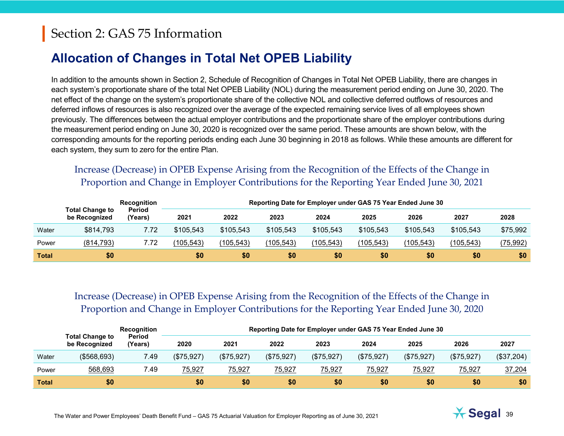#### **Allocation of Changes in Total Net OPEB Liability**

In addition to the amounts shown in Section 2, Schedule of Recognition of Changes in Total Net OPEB Liability, there are changes in each system's proportionate share of the total Net OPEB Liability (NOL) during the measurement period ending on June 30, [2020.](#page--1-0) The net effect of the change on the system's proportionate share of the collective NOL and collective deferred outflows of resources and deferred inflows of resources is also recognized over the average of the expected remaining service lives of all employees shown previously. The differences between the actual employer contributions and the proportionate share of the employer contributions during the measurement period ending on June 30, [2020](#page--1-0) is recognized over the same period. These amounts are shown below, with the corresponding amounts for the reporting periods ending each June 30 beginning in 2018 as follows. While these amounts are different for each system, they sum to zero for the entire Plan.

#### Increase (Decrease) in OPEB Expense Arising from the Recognition of the Effects of the Change in Proportion and Change in Employer Contributions for the Reporting Year Ended June 30, 2021

|              | <b>Total Change to</b><br>be Recognized | Recognition              | Reporting Date for Employer under GAS 75 Year Ended June 30 |            |            |            |            |            |            |           |
|--------------|-----------------------------------------|--------------------------|-------------------------------------------------------------|------------|------------|------------|------------|------------|------------|-----------|
|              |                                         | <b>Period</b><br>'Years) | 2021                                                        | 2022       | 2023       | 2024       | 2025       | 2026       | 2027       | 2028      |
| Water        | \$814,793                               | 7.72                     | \$105,543                                                   | \$105,543  | \$105,543  | \$105,543  | \$105,543  | \$105,543  | \$105,543  | \$75,992  |
| Power        | (814, 793)                              | 7.72                     | (105, 543)                                                  | (105, 543) | (105, 543) | (105, 543) | (105, 543) | (105, 543) | (105, 543) | (75, 992) |
| <b>Total</b> | \$0                                     |                          | \$0                                                         | \$0        | \$0        | \$0        | \$0        | \$0        | \$0        | \$0       |

#### Increase (Decrease) in OPEB Expense Arising from the Recognition of the Effects of the Change in Proportion and Change in Employer Contributions for the Reporting Year Ended June 30, 2020

|              | Recognition<br><b>Total Change to</b><br>Period<br>(Years)<br>be Recognized | Reporting Date for Employer under GAS 75 Year Ended June 30 |            |            |            |            |            |            |            |            |
|--------------|-----------------------------------------------------------------------------|-------------------------------------------------------------|------------|------------|------------|------------|------------|------------|------------|------------|
|              |                                                                             | 2020                                                        | 2021       | 2022       | 2023       | 2024       | 2025       | 2026       | 2027       |            |
| Water        | (\$568,693)                                                                 | 7.49                                                        | (\$75,927) | (\$75,927) | (\$75,927) | (\$75,927) | (\$75,927) | (\$75,927) | (\$75,927) | (\$37,204) |
| Power        | 568,693                                                                     | 7.49                                                        | 75,927     | 75,927     | 75,927     | 75,927     | 75,927     | 75,927     | 75,927     | 37,204     |
| <b>Total</b> | \$0                                                                         |                                                             | \$0        | \$0        | \$0        | \$0        | \$0        | \$0        | \$0        | \$0        |

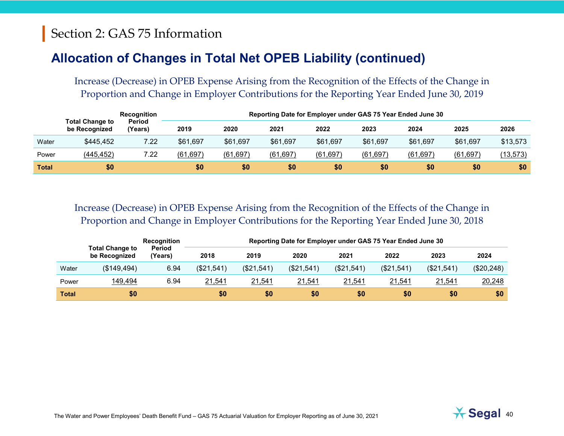#### **Allocation of Changes in Total Net OPEB Liability (continued)**

Increase (Decrease) in OPEB Expense Arising from the Recognition of the Effects of the Change in Proportion and Change in Employer Contributions for the Reporting Year Ended June 30, 2019

|              | Recognition<br><b>Total Change to</b><br>Period<br>'Years)<br>be Recognized |      | Reporting Date for Employer under GAS 75 Year Ended June 30 |           |           |           |           |           |           |           |
|--------------|-----------------------------------------------------------------------------|------|-------------------------------------------------------------|-----------|-----------|-----------|-----------|-----------|-----------|-----------|
|              |                                                                             |      | 2019                                                        | 2020      | 2021      | 2022      | 2023      | 2024      | 2025      | 2026      |
| Water        | \$445,452                                                                   | 7.22 | \$61,697                                                    | \$61,697  | \$61,697  | \$61,697  | \$61,697  | \$61,697  | \$61,697  | \$13,573  |
| Power        | (445, 452)                                                                  | 7.22 | (61, 697)                                                   | (61, 697) | (61, 697) | (61, 697) | (61, 697) | (61, 697) | (61, 697) | (13, 573) |
| <b>Total</b> | \$0                                                                         |      | \$0                                                         | \$0       | \$0       | \$0       | \$0       | \$0       | \$0       | \$0       |

Increase (Decrease) in OPEB Expense Arising from the Recognition of the Effects of the Change in Proportion and Change in Employer Contributions for the Reporting Year Ended June 30, 2018

|              | <b>Total Change to</b><br>be Recognized | <b>Recognition</b>       |            | Reporting Date for Employer under GAS 75 Year Ended June 30 |            |            |            |            |            |  |
|--------------|-----------------------------------------|--------------------------|------------|-------------------------------------------------------------|------------|------------|------------|------------|------------|--|
|              |                                         | <b>Period</b><br>(Years) | 2018       | 2019                                                        | 2020       | 2021       | 2022       | 2023       | 2024       |  |
| Water        | (\$149,494)                             | 6.94                     | (\$21,541) | (\$21,541)                                                  | (\$21,541) | (\$21,541) | (\$21,541) | (\$21,541) | (\$20,248) |  |
| Power        | 149,494                                 | 6.94                     | 21,541     | 21,541                                                      | 21,541     | 21,541     | 21,541     | 21,541     | 20,248     |  |
| <b>Total</b> | \$0                                     |                          | \$0        | \$0                                                         | \$0        | \$0        | \$0        | \$0        | \$0        |  |

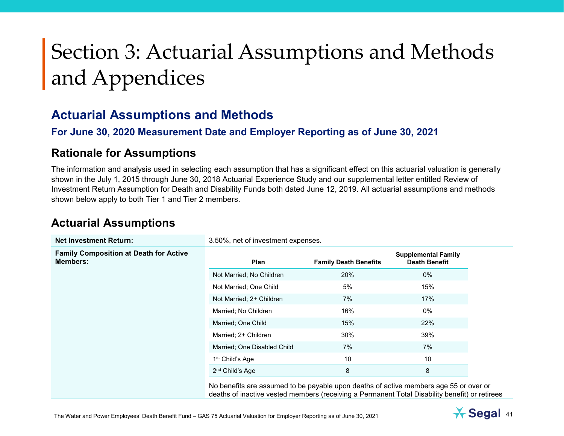#### **Actuarial Assumptions and Methods**

#### **For June 30, [2020](#page--1-0) Measurement Date and Employer Reporting as of June 30, [2021](#page--1-2)**

#### **Rationale for Assumptions**

The information and analysis used in selecting each assumption that has a significant effect on this actuarial valuation is generally shown in the July 1, 2015 through June 30, 2018 Actuarial Experience Study and our supplemental letter entitled Review of Investment Return Assumption for Death and Disability Funds both dated June 12, 2019. All actuarial assumptions and methods shown below apply to both Tier 1 and Tier 2 members.

#### **Actuarial Assumptions**

| <b>Net Investment Return:</b>                                    | 3.50%, net of investment expenses. |                              |                                                                                                                                                                                         |  |  |  |
|------------------------------------------------------------------|------------------------------------|------------------------------|-----------------------------------------------------------------------------------------------------------------------------------------------------------------------------------------|--|--|--|
| <b>Family Composition at Death for Active</b><br><b>Members:</b> | Plan                               | <b>Family Death Benefits</b> | <b>Supplemental Family</b><br><b>Death Benefit</b>                                                                                                                                      |  |  |  |
|                                                                  | Not Married; No Children           | 20%                          | $0\%$                                                                                                                                                                                   |  |  |  |
|                                                                  | Not Married; One Child             | 5%                           | 15%                                                                                                                                                                                     |  |  |  |
|                                                                  | Not Married; 2+ Children           | 7%                           | 17%                                                                                                                                                                                     |  |  |  |
|                                                                  | Married; No Children               | 16%                          | 0%                                                                                                                                                                                      |  |  |  |
|                                                                  | Married: One Child                 | 15%                          | 22%                                                                                                                                                                                     |  |  |  |
|                                                                  | Married; 2+ Children               | 30%                          | 39%                                                                                                                                                                                     |  |  |  |
|                                                                  | Married; One Disabled Child        | 7%                           | 7%                                                                                                                                                                                      |  |  |  |
|                                                                  | 1 <sup>st</sup> Child's Age        | 10                           | 10                                                                                                                                                                                      |  |  |  |
|                                                                  | 2 <sup>nd</sup> Child's Age        | 8                            | 8                                                                                                                                                                                       |  |  |  |
|                                                                  |                                    |                              | No benefits are assumed to be payable upon deaths of active members age 55 or over or<br>deaths of inactive vested members (receiving a Permanent Total Disability benefit) or retirees |  |  |  |



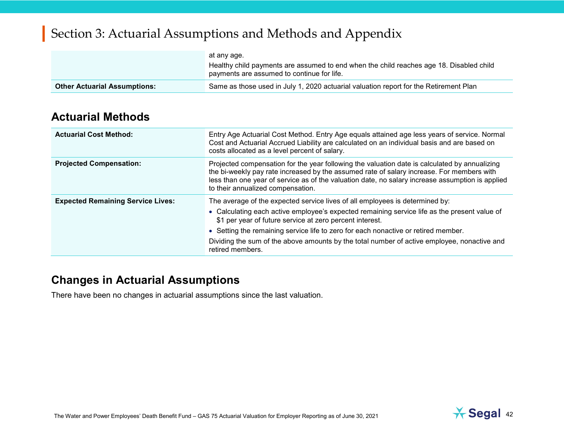|                                     | at any age.<br>Healthy child payments are assumed to end when the child reaches age 18. Disabled child<br>payments are assumed to continue for life. |
|-------------------------------------|------------------------------------------------------------------------------------------------------------------------------------------------------|
| <b>Other Actuarial Assumptions:</b> | Same as those used in July 1, 2020 actuarial valuation report for the Retirement Plan                                                                |

#### **Actuarial Methods**

| <b>Actuarial Cost Method:</b>            | Entry Age Actuarial Cost Method. Entry Age equals attained age less years of service. Normal<br>Cost and Actuarial Accrued Liability are calculated on an individual basis and are based on<br>costs allocated as a level percent of salary.                                                                                                                                                                                                      |
|------------------------------------------|---------------------------------------------------------------------------------------------------------------------------------------------------------------------------------------------------------------------------------------------------------------------------------------------------------------------------------------------------------------------------------------------------------------------------------------------------|
| <b>Projected Compensation:</b>           | Projected compensation for the year following the valuation date is calculated by annualizing<br>the bi-weekly pay rate increased by the assumed rate of salary increase. For members with<br>less than one year of service as of the valuation date, no salary increase assumption is applied<br>to their annualized compensation.                                                                                                               |
| <b>Expected Remaining Service Lives:</b> | The average of the expected service lives of all employees is determined by:<br>• Calculating each active employee's expected remaining service life as the present value of<br>\$1 per year of future service at zero percent interest.<br>• Setting the remaining service life to zero for each nonactive or retired member.<br>Dividing the sum of the above amounts by the total number of active employee, nonactive and<br>retired members. |

#### **Changes in Actuarial Assumptions**

There have been no changes in actuarial assumptions since the last valuation.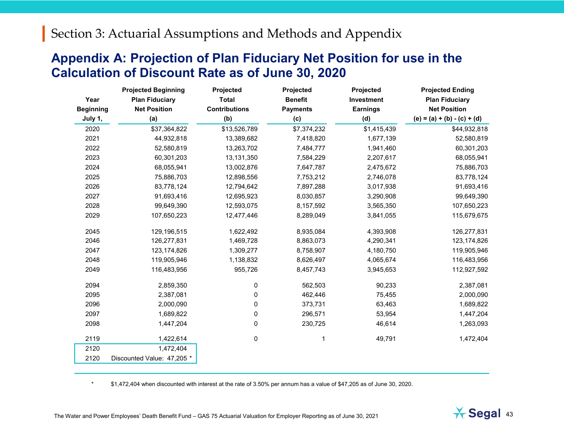#### **Appendix A: Projection of Plan Fiduciary Net Position for use in the Calculation of Discount Rate as of June 30, [2020](#page--1-0)**

|                  | <b>Projected Beginning</b> | Projected            | Projected       | Projected       | <b>Projected Ending</b>       |
|------------------|----------------------------|----------------------|-----------------|-----------------|-------------------------------|
| Year             | <b>Plan Fiduciary</b>      | <b>Total</b>         | <b>Benefit</b>  | Investment      | <b>Plan Fiduciary</b>         |
| <b>Beginning</b> | <b>Net Position</b>        | <b>Contributions</b> | <b>Payments</b> | <b>Earnings</b> | <b>Net Position</b>           |
| July 1,          | (a)                        | (b)                  | (c)             | (d)             | $(e) = (a) + (b) - (c) + (d)$ |
| 2020             | \$37,364,822               | \$13,526,789         | \$7,374,232     | \$1,415,439     | \$44,932,818                  |
| 2021             | 44,932,818                 | 13,389,682           | 7,418,820       | 1,677,139       | 52,580,819                    |
| 2022             | 52,580,819                 | 13,263,702           | 7,484,777       | 1,941,460       | 60,301,203                    |
| 2023             | 60,301,203                 | 13,131,350           | 7,584,229       | 2,207,617       | 68,055,941                    |
| 2024             | 68,055,941                 | 13,002,876           | 7,647,787       | 2,475,672       | 75,886,703                    |
| 2025             | 75,886,703                 | 12,898,556           | 7,753,212       | 2,746,078       | 83,778,124                    |
| 2026             | 83,778,124                 | 12,794,642           | 7,897,288       | 3,017,938       | 91,693,416                    |
| 2027             | 91,693,416                 | 12,695,923           | 8,030,857       | 3,290,908       | 99,649,390                    |
| 2028             | 99,649,390                 | 12,593,075           | 8,157,592       | 3,565,350       | 107,650,223                   |
| 2029             | 107,650,223                | 12,477,446           | 8,289,049       | 3,841,055       | 115,679,675                   |
| 2045             | 129,196,515                | 1,622,492            | 8,935,084       | 4,393,908       | 126,277,831                   |
| 2046             | 126,277,831                | 1,469,728            | 8,863,073       | 4,290,341       | 123, 174, 826                 |
| 2047             | 123, 174, 826              | 1,309,277            | 8,758,907       | 4,180,750       | 119,905,946                   |
| 2048             | 119,905,946                | 1,138,832            | 8,626,497       | 4,065,674       | 116,483,956                   |
| 2049             | 116,483,956                | 955,726              | 8,457,743       | 3,945,653       | 112,927,592                   |
| 2094             | 2,859,350                  | 0                    | 562,503         | 90,233          | 2,387,081                     |
| 2095             | 2,387,081                  | 0                    | 462,446         | 75,455          | 2,000,090                     |
| 2096             | 2,000,090                  | 0                    | 373,731         | 63,463          | 1,689,822                     |
| 2097             | 1,689,822                  | 0                    | 296,571         | 53,954          | 1,447,204                     |
| 2098             | 1,447,204                  | 0                    | 230,725         | 46,614          | 1,263,093                     |
| 2119             | 1,422,614                  | 0                    | 1               | 49,791          | 1,472,404                     |
| 2120             | 1,472,404                  |                      |                 |                 |                               |
| 2120             | Discounted Value: 47,205 * |                      |                 |                 |                               |

\* \$1,472,404 when discounted with interest at the rate of 3.50% per annum has a value of \$47,205 as of June 30, 2020.

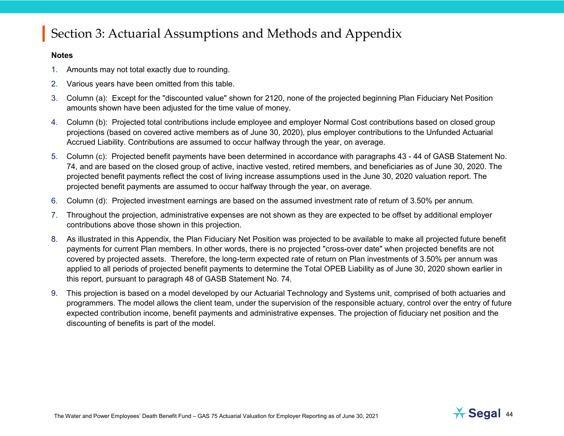#### **Notes**

- 1. Amounts may not total exactly due to rounding.
- 2. Various years have been omitted from this table.
- 3. Column (a): Except for the "discounted value" shown for 2120, none of the projected beginning Plan Fiduciary Net Position amounts shown have been adjusted for the time value of money.
- 4. Column (b): Projected total contributions include employee and employer Normal Cost contributions based on closed group projections (based on covered active members as of June 30, 2020), plus employer contributions to the Unfunded Actuarial Accrued Liability. Contributions are assumed to occur halfway through the year, on average.
- 5. Column (c): Projected benefit payments have been determined in accordance with paragraphs 43 44 of GASB Statement No. 74, and are based on the closed group of active, inactive vested, retired members, and beneficiaries as of June 30, 2020. The projected benefit payments reflect the cost of living increase assumptions used in the June 30, 2020 valuation report. The projected benefit payments are assumed to occur halfway through the year, on average.
- 6. Column (d): Projected investment earnings are based on the assumed investment rate of return of 3.50% per annum.
- 7. Throughout the projection, administrative expenses are not shown as they are expected to be offset by additional employer contributions above those shown in this projection.
- 8. As illustrated in this Appendix, the Plan Fiduciary Net Position was projected to be available to make all projected future benefit payments for current Plan members. In other words, there is no projected "cross-over date" when projected benefits are not covered by projected assets. Therefore, the long-term expected rate of return on Plan investments of 3.50% per annum was applied to all periods of projected benefit payments to determine the Total OPEB Liability as of June 30, 2020 shown earlier in this report, pursuant to paragraph 48 of GASB Statement No. 74.
- 9. This projection is based on a model developed by our Actuarial Technology and Systems unit, comprised of both actuaries and programmers. The model allows the client team, under the supervision of the responsible actuary, control over the entry of future expected contribution income, benefit payments and administrative expenses. The projection of fiduciary net position and the discounting of benefits is part of the model.

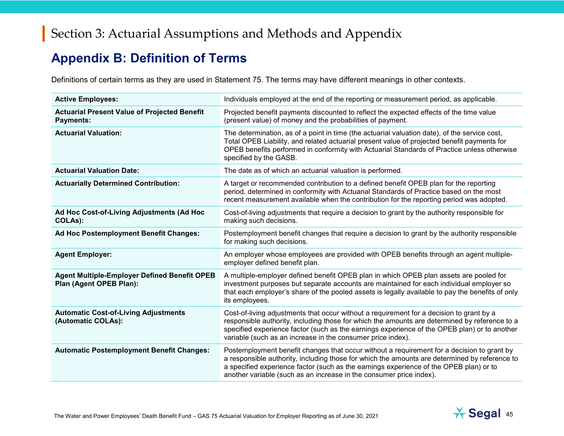#### **Appendix B: Definition of Terms**

Definitions of certain terms as they are used in Statement 75. The terms may have different meanings in other contexts.

| <b>Active Employees:</b>                                                       | Individuals employed at the end of the reporting or measurement period, as applicable.                                                                                                                                                                                                                                                                       |
|--------------------------------------------------------------------------------|--------------------------------------------------------------------------------------------------------------------------------------------------------------------------------------------------------------------------------------------------------------------------------------------------------------------------------------------------------------|
| <b>Actuarial Present Value of Projected Benefit</b><br><b>Payments:</b>        | Projected benefit payments discounted to reflect the expected effects of the time value<br>(present value) of money and the probabilities of payment.                                                                                                                                                                                                        |
| <b>Actuarial Valuation:</b>                                                    | The determination, as of a point in time (the actuarial valuation date), of the service cost,<br>Total OPEB Liability, and related actuarial present value of projected benefit payments for<br>OPEB benefits performed in conformity with Actuarial Standards of Practice unless otherwise<br>specified by the GASB.                                        |
| <b>Actuarial Valuation Date:</b>                                               | The date as of which an actuarial valuation is performed.                                                                                                                                                                                                                                                                                                    |
| <b>Actuarially Determined Contribution:</b>                                    | A target or recommended contribution to a defined benefit OPEB plan for the reporting<br>period, determined in conformity with Actuarial Standards of Practice based on the most<br>recent measurement available when the contribution for the reporting period was adopted.                                                                                 |
| Ad Hoc Cost-of-Living Adjustments (Ad Hoc<br>COLAs):                           | Cost-of-living adjustments that require a decision to grant by the authority responsible for<br>making such decisions.                                                                                                                                                                                                                                       |
| Ad Hoc Postemployment Benefit Changes:                                         | Postemployment benefit changes that require a decision to grant by the authority responsible<br>for making such decisions.                                                                                                                                                                                                                                   |
| <b>Agent Employer:</b>                                                         | An employer whose employees are provided with OPEB benefits through an agent multiple-<br>employer defined benefit plan.                                                                                                                                                                                                                                     |
| <b>Agent Multiple-Employer Defined Benefit OPEB</b><br>Plan (Agent OPEB Plan): | A multiple-employer defined benefit OPEB plan in which OPEB plan assets are pooled for<br>investment purposes but separate accounts are maintained for each individual employer so<br>that each employer's share of the pooled assets is legally available to pay the benefits of only<br>its employees.                                                     |
| <b>Automatic Cost-of-Living Adjustments</b><br>(Automatic COLAs):              | Cost-of-living adjustments that occur without a requirement for a decision to grant by a<br>responsible authority, including those for which the amounts are determined by reference to a<br>specified experience factor (such as the earnings experience of the OPEB plan) or to another<br>variable (such as an increase in the consumer price index).     |
| <b>Automatic Postemployment Benefit Changes:</b>                               | Postemployment benefit changes that occur without a requirement for a decision to grant by<br>a responsible authority, including those for which the amounts are determined by reference to<br>a specified experience factor (such as the earnings experience of the OPEB plan) or to<br>another variable (such as an increase in the consumer price index). |

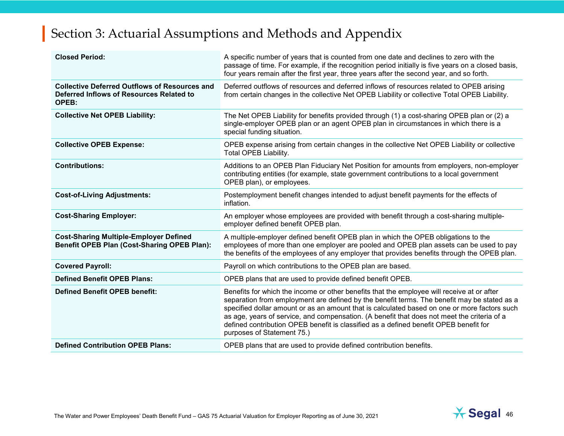| <b>Closed Period:</b>                                                                                     | A specific number of years that is counted from one date and declines to zero with the<br>passage of time. For example, if the recognition period initially is five years on a closed basis,<br>four years remain after the first year, three years after the second year, and so forth.                                                                                                                                                                                                                        |
|-----------------------------------------------------------------------------------------------------------|-----------------------------------------------------------------------------------------------------------------------------------------------------------------------------------------------------------------------------------------------------------------------------------------------------------------------------------------------------------------------------------------------------------------------------------------------------------------------------------------------------------------|
| <b>Collective Deferred Outflows of Resources and</b><br>Deferred Inflows of Resources Related to<br>OPEB: | Deferred outflows of resources and deferred inflows of resources related to OPEB arising<br>from certain changes in the collective Net OPEB Liability or collective Total OPEB Liability.                                                                                                                                                                                                                                                                                                                       |
| <b>Collective Net OPEB Liability:</b>                                                                     | The Net OPEB Liability for benefits provided through (1) a cost-sharing OPEB plan or (2) a<br>single-employer OPEB plan or an agent OPEB plan in circumstances in which there is a<br>special funding situation.                                                                                                                                                                                                                                                                                                |
| <b>Collective OPEB Expense:</b>                                                                           | OPEB expense arising from certain changes in the collective Net OPEB Liability or collective<br>Total OPEB Liability.                                                                                                                                                                                                                                                                                                                                                                                           |
| <b>Contributions:</b>                                                                                     | Additions to an OPEB Plan Fiduciary Net Position for amounts from employers, non-employer<br>contributing entities (for example, state government contributions to a local government<br>OPEB plan), or employees.                                                                                                                                                                                                                                                                                              |
| <b>Cost-of-Living Adjustments:</b>                                                                        | Postemployment benefit changes intended to adjust benefit payments for the effects of<br>inflation.                                                                                                                                                                                                                                                                                                                                                                                                             |
| <b>Cost-Sharing Employer:</b>                                                                             | An employer whose employees are provided with benefit through a cost-sharing multiple-<br>employer defined benefit OPEB plan.                                                                                                                                                                                                                                                                                                                                                                                   |
| <b>Cost-Sharing Multiple-Employer Defined</b><br>Benefit OPEB Plan (Cost-Sharing OPEB Plan):              | A multiple-employer defined benefit OPEB plan in which the OPEB obligations to the<br>employees of more than one employer are pooled and OPEB plan assets can be used to pay<br>the benefits of the employees of any employer that provides benefits through the OPEB plan.                                                                                                                                                                                                                                     |
| <b>Covered Payroll:</b>                                                                                   | Payroll on which contributions to the OPEB plan are based.                                                                                                                                                                                                                                                                                                                                                                                                                                                      |
| <b>Defined Benefit OPEB Plans:</b>                                                                        | OPEB plans that are used to provide defined benefit OPEB.                                                                                                                                                                                                                                                                                                                                                                                                                                                       |
| <b>Defined Benefit OPEB benefit:</b>                                                                      | Benefits for which the income or other benefits that the employee will receive at or after<br>separation from employment are defined by the benefit terms. The benefit may be stated as a<br>specified dollar amount or as an amount that is calculated based on one or more factors such<br>as age, years of service, and compensation. (A benefit that does not meet the criteria of a<br>defined contribution OPEB benefit is classified as a defined benefit OPEB benefit for<br>purposes of Statement 75.) |
| <b>Defined Contribution OPEB Plans:</b>                                                                   | OPEB plans that are used to provide defined contribution benefits.                                                                                                                                                                                                                                                                                                                                                                                                                                              |

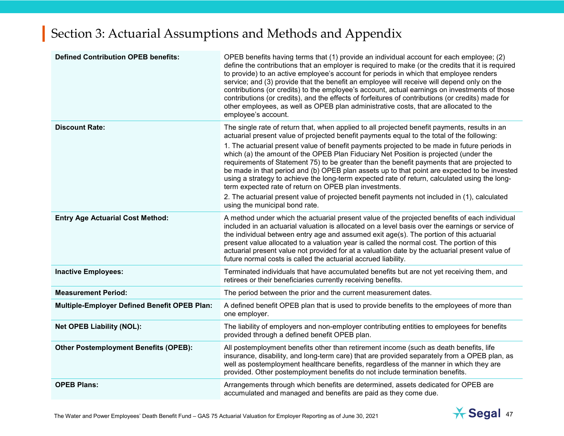| <b>Defined Contribution OPEB benefits:</b>          | OPEB benefits having terms that (1) provide an individual account for each employee; (2)<br>define the contributions that an employer is required to make (or the credits that it is required<br>to provide) to an active employee's account for periods in which that employee renders<br>service; and (3) provide that the benefit an employee will receive will depend only on the<br>contributions (or credits) to the employee's account, actual earnings on investments of those<br>contributions (or credits), and the effects of forfeitures of contributions (or credits) made for<br>other employees, as well as OPEB plan administrative costs, that are allocated to the<br>employee's account. |
|-----------------------------------------------------|-------------------------------------------------------------------------------------------------------------------------------------------------------------------------------------------------------------------------------------------------------------------------------------------------------------------------------------------------------------------------------------------------------------------------------------------------------------------------------------------------------------------------------------------------------------------------------------------------------------------------------------------------------------------------------------------------------------|
| <b>Discount Rate:</b>                               | The single rate of return that, when applied to all projected benefit payments, results in an<br>actuarial present value of projected benefit payments equal to the total of the following:                                                                                                                                                                                                                                                                                                                                                                                                                                                                                                                 |
|                                                     | 1. The actuarial present value of benefit payments projected to be made in future periods in<br>which (a) the amount of the OPEB Plan Fiduciary Net Position is projected (under the<br>requirements of Statement 75) to be greater than the benefit payments that are projected to<br>be made in that period and (b) OPEB plan assets up to that point are expected to be invested<br>using a strategy to achieve the long-term expected rate of return, calculated using the long-<br>term expected rate of return on OPEB plan investments.                                                                                                                                                              |
|                                                     | 2. The actuarial present value of projected benefit payments not included in (1), calculated<br>using the municipal bond rate.                                                                                                                                                                                                                                                                                                                                                                                                                                                                                                                                                                              |
| <b>Entry Age Actuarial Cost Method:</b>             | A method under which the actuarial present value of the projected benefits of each individual<br>included in an actuarial valuation is allocated on a level basis over the earnings or service of<br>the individual between entry age and assumed exit age(s). The portion of this actuarial<br>present value allocated to a valuation year is called the normal cost. The portion of this<br>actuarial present value not provided for at a valuation date by the actuarial present value of<br>future normal costs is called the actuarial accrued liability.                                                                                                                                              |
| <b>Inactive Employees:</b>                          | Terminated individuals that have accumulated benefits but are not yet receiving them, and<br>retirees or their beneficiaries currently receiving benefits.                                                                                                                                                                                                                                                                                                                                                                                                                                                                                                                                                  |
| <b>Measurement Period:</b>                          | The period between the prior and the current measurement dates.                                                                                                                                                                                                                                                                                                                                                                                                                                                                                                                                                                                                                                             |
| <b>Multiple-Employer Defined Benefit OPEB Plan:</b> | A defined benefit OPEB plan that is used to provide benefits to the employees of more than<br>one employer.                                                                                                                                                                                                                                                                                                                                                                                                                                                                                                                                                                                                 |
| <b>Net OPEB Liability (NOL):</b>                    | The liability of employers and non-employer contributing entities to employees for benefits<br>provided through a defined benefit OPEB plan.                                                                                                                                                                                                                                                                                                                                                                                                                                                                                                                                                                |
| <b>Other Postemployment Benefits (OPEB):</b>        | All postemployment benefits other than retirement income (such as death benefits, life<br>insurance, disability, and long-term care) that are provided separately from a OPEB plan, as<br>well as postemployment healthcare benefits, regardless of the manner in which they are<br>provided. Other postemployment benefits do not include termination benefits.                                                                                                                                                                                                                                                                                                                                            |
| <b>OPEB Plans:</b>                                  | Arrangements through which benefits are determined, assets dedicated for OPEB are<br>accumulated and managed and benefits are paid as they come due.                                                                                                                                                                                                                                                                                                                                                                                                                                                                                                                                                        |